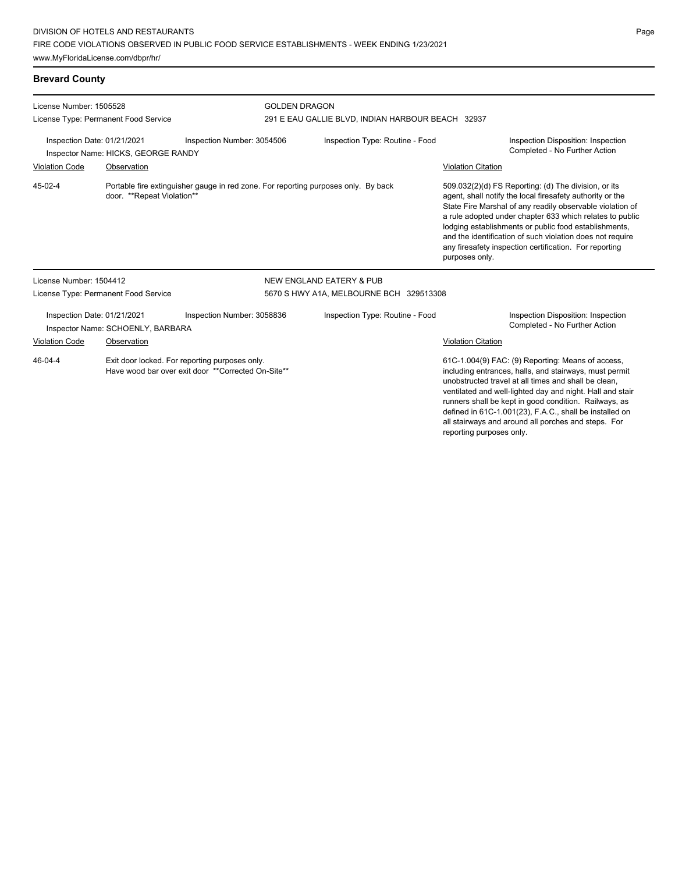### **Brevard County**

| License Number: 1505528                                            |                                      |                                                                                                      | <b>GOLDEN DRAGON</b>                              |                                                                                                                                                                                                                                                                                                                                                                                                                                              |  |  |  |
|--------------------------------------------------------------------|--------------------------------------|------------------------------------------------------------------------------------------------------|---------------------------------------------------|----------------------------------------------------------------------------------------------------------------------------------------------------------------------------------------------------------------------------------------------------------------------------------------------------------------------------------------------------------------------------------------------------------------------------------------------|--|--|--|
|                                                                    | License Type: Permanent Food Service |                                                                                                      | 291 E EAU GALLIE BLVD, INDIAN HARBOUR BEACH 32937 |                                                                                                                                                                                                                                                                                                                                                                                                                                              |  |  |  |
| Inspection Date: 01/21/2021<br>Inspector Name: HICKS, GEORGE RANDY |                                      | Inspection Number: 3054506                                                                           | Inspection Type: Routine - Food                   | Inspection Disposition: Inspection<br>Completed - No Further Action                                                                                                                                                                                                                                                                                                                                                                          |  |  |  |
| <b>Violation Code</b>                                              | Observation                          |                                                                                                      |                                                   | <b>Violation Citation</b>                                                                                                                                                                                                                                                                                                                                                                                                                    |  |  |  |
| 45-02-4                                                            | door. **Repeat Violation**           | Portable fire extinguisher gauge in red zone. For reporting purposes only. By back                   |                                                   | 509.032(2)(d) FS Reporting: (d) The division, or its<br>agent, shall notify the local firesafety authority or the<br>State Fire Marshal of any readily observable violation of<br>a rule adopted under chapter 633 which relates to public<br>lodging establishments or public food establishments,<br>and the identification of such violation does not require<br>any firesafety inspection certification. For reporting<br>purposes only. |  |  |  |
| License Number: 1504412                                            |                                      |                                                                                                      | <b>NEW ENGLAND EATERY &amp; PUB</b>               |                                                                                                                                                                                                                                                                                                                                                                                                                                              |  |  |  |
|                                                                    | License Type: Permanent Food Service |                                                                                                      | 5670 S HWY A1A, MELBOURNE BCH 329513308           |                                                                                                                                                                                                                                                                                                                                                                                                                                              |  |  |  |
| Inspection Date: 01/21/2021                                        | Inspector Name: SCHOENLY, BARBARA    | Inspection Number: 3058836                                                                           | Inspection Type: Routine - Food                   | Inspection Disposition: Inspection<br>Completed - No Further Action                                                                                                                                                                                                                                                                                                                                                                          |  |  |  |
| Violation Code                                                     | Observation                          |                                                                                                      |                                                   | Violation Citation                                                                                                                                                                                                                                                                                                                                                                                                                           |  |  |  |
| $46 - 04 - 4$                                                      |                                      | Exit door locked. For reporting purposes only.<br>Have wood bar over exit door **Corrected On-Site** |                                                   | 61C-1.004(9) FAC: (9) Reporting: Means of access,<br>including entrances, halls, and stairways, must permit<br>unobstructed travel at all times and shall be clean.<br>ventilated and well-lighted day and night. Hall and stair<br>runners shall be kept in good condition. Railways, as<br>defined in 61C-1.001(23), F.A.C., shall be installed on                                                                                         |  |  |  |

all stairways and around all porches and steps. For

reporting purposes only.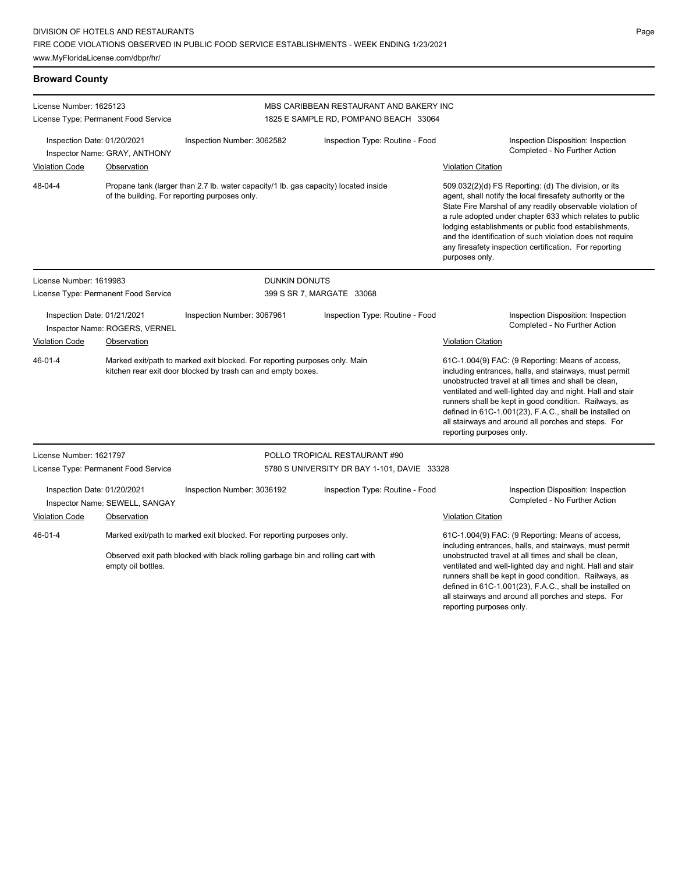### **Broward County**

| License Number: 1625123                                                                                                                                                                         |                                      |                                                                                                                                      | MBS CARIBBEAN RESTAURANT AND BAKERY INC                                                                                                                                                                                                                                                                                                                                                                                                |                                                                                                                                                                                                                                                                                                                                                                                                                                              |  |
|-------------------------------------------------------------------------------------------------------------------------------------------------------------------------------------------------|--------------------------------------|--------------------------------------------------------------------------------------------------------------------------------------|----------------------------------------------------------------------------------------------------------------------------------------------------------------------------------------------------------------------------------------------------------------------------------------------------------------------------------------------------------------------------------------------------------------------------------------|----------------------------------------------------------------------------------------------------------------------------------------------------------------------------------------------------------------------------------------------------------------------------------------------------------------------------------------------------------------------------------------------------------------------------------------------|--|
|                                                                                                                                                                                                 | License Type: Permanent Food Service |                                                                                                                                      | 1825 E SAMPLE RD, POMPANO BEACH 33064                                                                                                                                                                                                                                                                                                                                                                                                  |                                                                                                                                                                                                                                                                                                                                                                                                                                              |  |
| Inspection Date: 01/20/2021                                                                                                                                                                     | Inspector Name: GRAY, ANTHONY        | Inspection Type: Routine - Food<br>Inspection Number: 3062582                                                                        |                                                                                                                                                                                                                                                                                                                                                                                                                                        | Inspection Disposition: Inspection<br>Completed - No Further Action                                                                                                                                                                                                                                                                                                                                                                          |  |
| <b>Violation Code</b>                                                                                                                                                                           | Observation                          |                                                                                                                                      |                                                                                                                                                                                                                                                                                                                                                                                                                                        | <b>Violation Citation</b>                                                                                                                                                                                                                                                                                                                                                                                                                    |  |
| 48-04-4                                                                                                                                                                                         |                                      | Propane tank (larger than 2.7 lb. water capacity/1 lb. gas capacity) located inside<br>of the building. For reporting purposes only. |                                                                                                                                                                                                                                                                                                                                                                                                                                        | 509.032(2)(d) FS Reporting: (d) The division, or its<br>agent, shall notify the local firesafety authority or the<br>State Fire Marshal of any readily observable violation of<br>a rule adopted under chapter 633 which relates to public<br>lodging establishments or public food establishments,<br>and the identification of such violation does not require<br>any firesafety inspection certification. For reporting<br>purposes only. |  |
| License Number: 1619983                                                                                                                                                                         |                                      | <b>DUNKIN DONUTS</b>                                                                                                                 |                                                                                                                                                                                                                                                                                                                                                                                                                                        |                                                                                                                                                                                                                                                                                                                                                                                                                                              |  |
|                                                                                                                                                                                                 | License Type: Permanent Food Service |                                                                                                                                      | 399 S SR 7, MARGATE 33068                                                                                                                                                                                                                                                                                                                                                                                                              |                                                                                                                                                                                                                                                                                                                                                                                                                                              |  |
| Inspection Date: 01/21/2021<br>Inspector Name: ROGERS, VERNEL                                                                                                                                   |                                      | Inspection Number: 3067961                                                                                                           | Inspection Type: Routine - Food                                                                                                                                                                                                                                                                                                                                                                                                        | Inspection Disposition: Inspection<br>Completed - No Further Action                                                                                                                                                                                                                                                                                                                                                                          |  |
| <b>Violation Code</b>                                                                                                                                                                           | Observation                          |                                                                                                                                      |                                                                                                                                                                                                                                                                                                                                                                                                                                        | <b>Violation Citation</b>                                                                                                                                                                                                                                                                                                                                                                                                                    |  |
| $46 - 01 - 4$<br>Marked exit/path to marked exit blocked. For reporting purposes only. Main<br>kitchen rear exit door blocked by trash can and empty boxes.                                     |                                      |                                                                                                                                      | 61C-1.004(9) FAC: (9 Reporting: Means of access,<br>including entrances, halls, and stairways, must permit<br>unobstructed travel at all times and shall be clean,<br>ventilated and well-lighted day and night. Hall and stair<br>runners shall be kept in good condition. Railways, as<br>defined in 61C-1.001(23), F.A.C., shall be installed on<br>all stairways and around all porches and steps. For<br>reporting purposes only. |                                                                                                                                                                                                                                                                                                                                                                                                                                              |  |
| License Number: 1621797                                                                                                                                                                         |                                      |                                                                                                                                      | POLLO TROPICAL RESTAURANT #90                                                                                                                                                                                                                                                                                                                                                                                                          |                                                                                                                                                                                                                                                                                                                                                                                                                                              |  |
|                                                                                                                                                                                                 | License Type: Permanent Food Service |                                                                                                                                      | 5780 S UNIVERSITY DR BAY 1-101, DAVIE 33328                                                                                                                                                                                                                                                                                                                                                                                            |                                                                                                                                                                                                                                                                                                                                                                                                                                              |  |
| Inspection Date: 01/20/2021                                                                                                                                                                     | Inspector Name: SEWELL, SANGAY       | Inspection Number: 3036192                                                                                                           | Inspection Type: Routine - Food                                                                                                                                                                                                                                                                                                                                                                                                        | Inspection Disposition: Inspection<br>Completed - No Further Action                                                                                                                                                                                                                                                                                                                                                                          |  |
| <b>Violation Code</b>                                                                                                                                                                           | Observation                          |                                                                                                                                      |                                                                                                                                                                                                                                                                                                                                                                                                                                        | <b>Violation Citation</b>                                                                                                                                                                                                                                                                                                                                                                                                                    |  |
| $46 - 01 - 4$<br>Marked exit/path to marked exit blocked. For reporting purposes only.<br>Observed exit path blocked with black rolling garbage bin and rolling cart with<br>empty oil bottles. |                                      |                                                                                                                                      | 61C-1.004(9) FAC: (9 Reporting: Means of access,<br>including entrances, halls, and stairways, must permit<br>unobstructed travel at all times and shall be clean,<br>ventilated and well-lighted day and night. Hall and stair<br>runners shall be kept in good condition. Railways, as<br>defined in 61C-1.001(23), F.A.C., shall be installed on<br>all stairways and around all porches and steps. For<br>reporting purposes only. |                                                                                                                                                                                                                                                                                                                                                                                                                                              |  |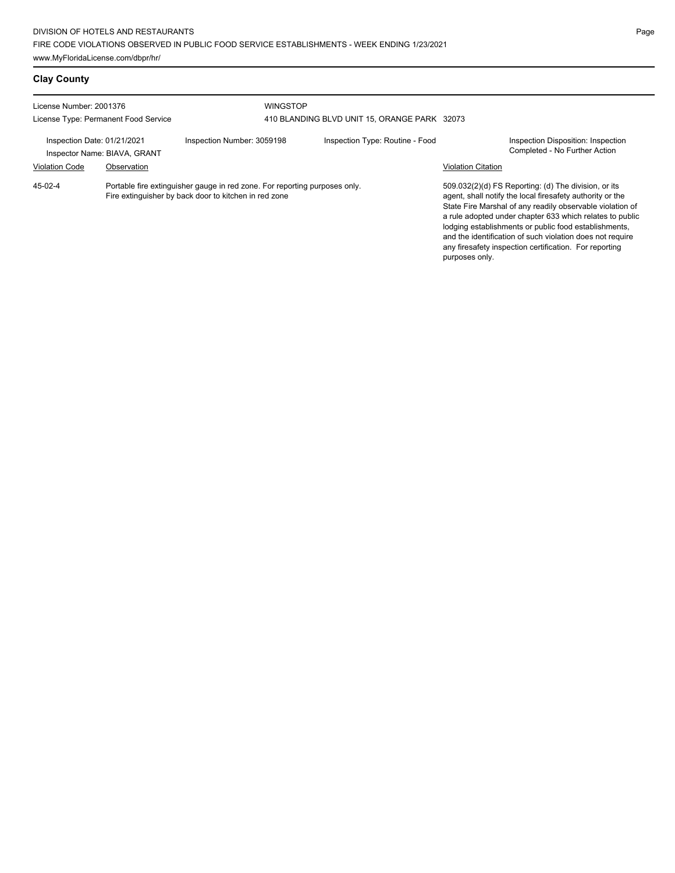## **Clay County**

| License Number: 2001376                                                                                                                          |                              | <b>WINGSTOP</b>            |                                              |                           |                                                                                                                                                                                                                                                                                                                                                                  |
|--------------------------------------------------------------------------------------------------------------------------------------------------|------------------------------|----------------------------|----------------------------------------------|---------------------------|------------------------------------------------------------------------------------------------------------------------------------------------------------------------------------------------------------------------------------------------------------------------------------------------------------------------------------------------------------------|
| License Type: Permanent Food Service                                                                                                             |                              |                            | 410 BLANDING BLVD UNIT 15, ORANGE PARK 32073 |                           |                                                                                                                                                                                                                                                                                                                                                                  |
| Inspection Date: 01/21/2021                                                                                                                      | Inspector Name: BIAVA, GRANT | Inspection Number: 3059198 | Inspection Type: Routine - Food              |                           | Inspection Disposition: Inspection<br>Completed - No Further Action                                                                                                                                                                                                                                                                                              |
| <b>Violation Code</b>                                                                                                                            | Observation                  |                            |                                              | <b>Violation Citation</b> |                                                                                                                                                                                                                                                                                                                                                                  |
| Portable fire extinguisher gauge in red zone. For reporting purposes only.<br>$45-02-4$<br>Fire extinguisher by back door to kitchen in red zone |                              |                            |                                              |                           | 509.032(2)(d) FS Reporting: (d) The division, or its<br>agent, shall notify the local firesafety authority or the<br>State Fire Marshal of any readily observable violation of<br>a rule adopted under chapter 633 which relates to public<br>lodging establishments or public food establishments.<br>and the identification of such violation does not require |

any firesafety inspection certification. For reporting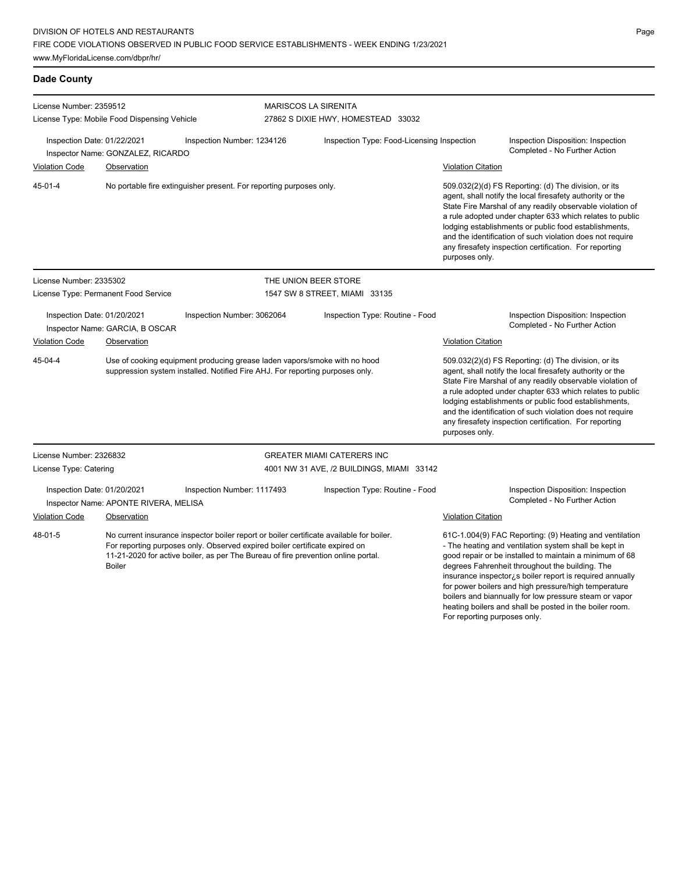### **Dade County**

| License Number: 2359512                                                                                                                                                                                                                                                                  |                                              |                                                                                                                                                            | <b>MARISCOS LA SIRENITA</b>                                         |                                                                                                                                                                                                                                                                                             |                                                                                                                                                                                                                                                                                                                                                                                                                                              |                                                                                                                                                                                                                                                                                                                                                                                                                            |
|------------------------------------------------------------------------------------------------------------------------------------------------------------------------------------------------------------------------------------------------------------------------------------------|----------------------------------------------|------------------------------------------------------------------------------------------------------------------------------------------------------------|---------------------------------------------------------------------|---------------------------------------------------------------------------------------------------------------------------------------------------------------------------------------------------------------------------------------------------------------------------------------------|----------------------------------------------------------------------------------------------------------------------------------------------------------------------------------------------------------------------------------------------------------------------------------------------------------------------------------------------------------------------------------------------------------------------------------------------|----------------------------------------------------------------------------------------------------------------------------------------------------------------------------------------------------------------------------------------------------------------------------------------------------------------------------------------------------------------------------------------------------------------------------|
|                                                                                                                                                                                                                                                                                          | License Type: Mobile Food Dispensing Vehicle |                                                                                                                                                            | 27862 S DIXIE HWY, HOMESTEAD 33032                                  |                                                                                                                                                                                                                                                                                             |                                                                                                                                                                                                                                                                                                                                                                                                                                              |                                                                                                                                                                                                                                                                                                                                                                                                                            |
| Inspection Date: 01/22/2021                                                                                                                                                                                                                                                              | Inspector Name: GONZALEZ, RICARDO            | Inspection Number: 1234126                                                                                                                                 |                                                                     | Inspection Type: Food-Licensing Inspection                                                                                                                                                                                                                                                  |                                                                                                                                                                                                                                                                                                                                                                                                                                              | Inspection Disposition: Inspection<br>Completed - No Further Action                                                                                                                                                                                                                                                                                                                                                        |
| <b>Violation Code</b>                                                                                                                                                                                                                                                                    | Observation                                  |                                                                                                                                                            |                                                                     |                                                                                                                                                                                                                                                                                             | <b>Violation Citation</b>                                                                                                                                                                                                                                                                                                                                                                                                                    |                                                                                                                                                                                                                                                                                                                                                                                                                            |
| $45 - 01 - 4$                                                                                                                                                                                                                                                                            |                                              |                                                                                                                                                            | No portable fire extinguisher present. For reporting purposes only. |                                                                                                                                                                                                                                                                                             | 509.032(2)(d) FS Reporting: (d) The division, or its<br>agent, shall notify the local firesafety authority or the<br>State Fire Marshal of any readily observable violation of<br>a rule adopted under chapter 633 which relates to public<br>lodging establishments or public food establishments,<br>and the identification of such violation does not require<br>any firesafety inspection certification. For reporting<br>purposes only. |                                                                                                                                                                                                                                                                                                                                                                                                                            |
| License Number: 2335302                                                                                                                                                                                                                                                                  |                                              |                                                                                                                                                            | THE UNION BEER STORE                                                |                                                                                                                                                                                                                                                                                             |                                                                                                                                                                                                                                                                                                                                                                                                                                              |                                                                                                                                                                                                                                                                                                                                                                                                                            |
|                                                                                                                                                                                                                                                                                          | License Type: Permanent Food Service         |                                                                                                                                                            |                                                                     | 1547 SW 8 STREET, MIAMI 33135                                                                                                                                                                                                                                                               |                                                                                                                                                                                                                                                                                                                                                                                                                                              |                                                                                                                                                                                                                                                                                                                                                                                                                            |
| Inspection Date: 01/20/2021<br>Inspection Number: 3062064<br>Inspector Name: GARCIA, B OSCAR                                                                                                                                                                                             |                                              |                                                                                                                                                            | Inspection Type: Routine - Food                                     |                                                                                                                                                                                                                                                                                             | Inspection Disposition: Inspection<br>Completed - No Further Action                                                                                                                                                                                                                                                                                                                                                                          |                                                                                                                                                                                                                                                                                                                                                                                                                            |
| <b>Violation Code</b>                                                                                                                                                                                                                                                                    | Observation                                  |                                                                                                                                                            |                                                                     |                                                                                                                                                                                                                                                                                             | <b>Violation Citation</b>                                                                                                                                                                                                                                                                                                                                                                                                                    |                                                                                                                                                                                                                                                                                                                                                                                                                            |
| $45 - 04 - 4$                                                                                                                                                                                                                                                                            |                                              | Use of cooking equipment producing grease laden vapors/smoke with no hood<br>suppression system installed. Notified Fire AHJ. For reporting purposes only. |                                                                     |                                                                                                                                                                                                                                                                                             | purposes only.                                                                                                                                                                                                                                                                                                                                                                                                                               | 509.032(2)(d) FS Reporting: (d) The division, or its<br>agent, shall notify the local firesafety authority or the<br>State Fire Marshal of any readily observable violation of<br>a rule adopted under chapter 633 which relates to public<br>lodging establishments or public food establishments,<br>and the identification of such violation does not require<br>any firesafety inspection certification. For reporting |
| License Number: 2326832                                                                                                                                                                                                                                                                  |                                              |                                                                                                                                                            |                                                                     | <b>GREATER MIAMI CATERERS INC</b>                                                                                                                                                                                                                                                           |                                                                                                                                                                                                                                                                                                                                                                                                                                              |                                                                                                                                                                                                                                                                                                                                                                                                                            |
| License Type: Catering                                                                                                                                                                                                                                                                   |                                              |                                                                                                                                                            |                                                                     | 4001 NW 31 AVE, /2 BUILDINGS, MIAMI 33142                                                                                                                                                                                                                                                   |                                                                                                                                                                                                                                                                                                                                                                                                                                              |                                                                                                                                                                                                                                                                                                                                                                                                                            |
| Inspection Date: 01/20/2021<br>Inspector Name: APONTE RIVERA, MELISA                                                                                                                                                                                                                     |                                              | Inspection Number: 1117493                                                                                                                                 |                                                                     | Inspection Type: Routine - Food                                                                                                                                                                                                                                                             |                                                                                                                                                                                                                                                                                                                                                                                                                                              | Inspection Disposition: Inspection<br>Completed - No Further Action                                                                                                                                                                                                                                                                                                                                                        |
| <b>Violation Code</b>                                                                                                                                                                                                                                                                    | Observation                                  |                                                                                                                                                            |                                                                     |                                                                                                                                                                                                                                                                                             | <b>Violation Citation</b>                                                                                                                                                                                                                                                                                                                                                                                                                    |                                                                                                                                                                                                                                                                                                                                                                                                                            |
| 48-01-5<br>No current insurance inspector boiler report or boiler certificate available for boiler.<br>For reporting purposes only. Observed expired boiler certificate expired on<br>11-21-2020 for active boiler, as per The Bureau of fire prevention online portal.<br><b>Boiler</b> |                                              |                                                                                                                                                            |                                                                     | 61C-1.004(9) FAC Reporting: (9) Heating and ventilation<br>- The heating and ventilation system shall be kept in<br>good repair or be installed to maintain a minimum of 68<br>degrees Fahrenheit throughout the building. The<br>insurance inspector is boiler report is required annually |                                                                                                                                                                                                                                                                                                                                                                                                                                              |                                                                                                                                                                                                                                                                                                                                                                                                                            |

Page

for power boilers and high pressure/high temperature boilers and biannually for low pressure steam or vapor heating boilers and shall be posted in the boiler room.

For reporting purposes only.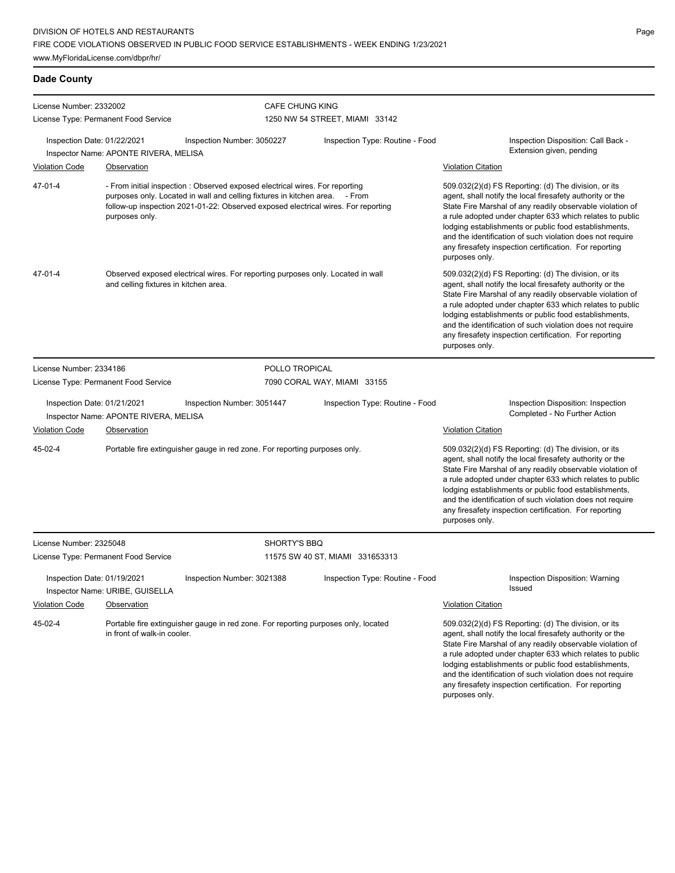### **Dade County**

| License Number: 2332002                                                                                                                                                                                                                                                       |                                                      |                                                                                    | <b>CAFE CHUNG KING</b>                                                                                                                                                                                                                                                                                                                                                                                                                       |                                 |                                                                                                                                                                                                                                                                                                                                                                                                                                              |                                                                                                                                                                                                                                                                                                                                                                                                                            |  |
|-------------------------------------------------------------------------------------------------------------------------------------------------------------------------------------------------------------------------------------------------------------------------------|------------------------------------------------------|------------------------------------------------------------------------------------|----------------------------------------------------------------------------------------------------------------------------------------------------------------------------------------------------------------------------------------------------------------------------------------------------------------------------------------------------------------------------------------------------------------------------------------------|---------------------------------|----------------------------------------------------------------------------------------------------------------------------------------------------------------------------------------------------------------------------------------------------------------------------------------------------------------------------------------------------------------------------------------------------------------------------------------------|----------------------------------------------------------------------------------------------------------------------------------------------------------------------------------------------------------------------------------------------------------------------------------------------------------------------------------------------------------------------------------------------------------------------------|--|
| License Type: Permanent Food Service                                                                                                                                                                                                                                          |                                                      |                                                                                    | 1250 NW 54 STREET, MIAMI 33142                                                                                                                                                                                                                                                                                                                                                                                                               |                                 |                                                                                                                                                                                                                                                                                                                                                                                                                                              |                                                                                                                                                                                                                                                                                                                                                                                                                            |  |
| Inspection Date: 01/22/2021<br><b>Violation Code</b>                                                                                                                                                                                                                          | Inspector Name: APONTE RIVERA, MELISA<br>Observation | Inspection Number: 3050227                                                         |                                                                                                                                                                                                                                                                                                                                                                                                                                              | Inspection Type: Routine - Food | <b>Violation Citation</b>                                                                                                                                                                                                                                                                                                                                                                                                                    | Inspection Disposition: Call Back -<br>Extension given, pending                                                                                                                                                                                                                                                                                                                                                            |  |
| 47-01-4<br>- From initial inspection : Observed exposed electrical wires. For reporting<br>purposes only. Located in wall and celling fixtures in kitchen area. - From<br>follow-up inspection 2021-01-22: Observed exposed electrical wires. For reporting<br>purposes only. |                                                      |                                                                                    | 509.032(2)(d) FS Reporting: (d) The division, or its<br>agent, shall notify the local firesafety authority or the<br>State Fire Marshal of any readily observable violation of<br>a rule adopted under chapter 633 which relates to public<br>lodging establishments or public food establishments,<br>and the identification of such violation does not require<br>any firesafety inspection certification. For reporting<br>purposes only. |                                 |                                                                                                                                                                                                                                                                                                                                                                                                                                              |                                                                                                                                                                                                                                                                                                                                                                                                                            |  |
| 47-01-4                                                                                                                                                                                                                                                                       | and celling fixtures in kitchen area.                | Observed exposed electrical wires. For reporting purposes only. Located in wall    |                                                                                                                                                                                                                                                                                                                                                                                                                                              |                                 | 509.032(2)(d) FS Reporting: (d) The division, or its<br>agent, shall notify the local firesafety authority or the<br>State Fire Marshal of any readily observable violation of<br>a rule adopted under chapter 633 which relates to public<br>lodging establishments or public food establishments,<br>and the identification of such violation does not require<br>any firesafety inspection certification. For reporting<br>purposes only. |                                                                                                                                                                                                                                                                                                                                                                                                                            |  |
| License Number: 2334186                                                                                                                                                                                                                                                       |                                                      |                                                                                    | POLLO TROPICAL                                                                                                                                                                                                                                                                                                                                                                                                                               |                                 |                                                                                                                                                                                                                                                                                                                                                                                                                                              |                                                                                                                                                                                                                                                                                                                                                                                                                            |  |
| License Type: Permanent Food Service                                                                                                                                                                                                                                          |                                                      |                                                                                    |                                                                                                                                                                                                                                                                                                                                                                                                                                              | 7090 CORAL WAY, MIAMI 33155     |                                                                                                                                                                                                                                                                                                                                                                                                                                              |                                                                                                                                                                                                                                                                                                                                                                                                                            |  |
| Inspection Date: 01/21/2021                                                                                                                                                                                                                                                   | Inspector Name: APONTE RIVERA, MELISA                | Inspection Number: 3051447                                                         |                                                                                                                                                                                                                                                                                                                                                                                                                                              | Inspection Type: Routine - Food |                                                                                                                                                                                                                                                                                                                                                                                                                                              | Inspection Disposition: Inspection<br>Completed - No Further Action                                                                                                                                                                                                                                                                                                                                                        |  |
| <b>Violation Code</b>                                                                                                                                                                                                                                                         | Observation                                          |                                                                                    |                                                                                                                                                                                                                                                                                                                                                                                                                                              |                                 | <b>Violation Citation</b>                                                                                                                                                                                                                                                                                                                                                                                                                    |                                                                                                                                                                                                                                                                                                                                                                                                                            |  |
| 45-02-4                                                                                                                                                                                                                                                                       |                                                      | Portable fire extinguisher gauge in red zone. For reporting purposes only.         |                                                                                                                                                                                                                                                                                                                                                                                                                                              |                                 | purposes only.                                                                                                                                                                                                                                                                                                                                                                                                                               | 509.032(2)(d) FS Reporting: (d) The division, or its<br>agent, shall notify the local firesafety authority or the<br>State Fire Marshal of any readily observable violation of<br>a rule adopted under chapter 633 which relates to public<br>lodging establishments or public food establishments,<br>and the identification of such violation does not require<br>any firesafety inspection certification. For reporting |  |
| License Number: 2325048                                                                                                                                                                                                                                                       |                                                      |                                                                                    | SHORTY'S BBQ                                                                                                                                                                                                                                                                                                                                                                                                                                 |                                 |                                                                                                                                                                                                                                                                                                                                                                                                                                              |                                                                                                                                                                                                                                                                                                                                                                                                                            |  |
| License Type: Permanent Food Service                                                                                                                                                                                                                                          |                                                      |                                                                                    |                                                                                                                                                                                                                                                                                                                                                                                                                                              | 11575 SW 40 ST, MIAMI 331653313 |                                                                                                                                                                                                                                                                                                                                                                                                                                              |                                                                                                                                                                                                                                                                                                                                                                                                                            |  |
| Inspection Date: 01/19/2021<br>Violation Code                                                                                                                                                                                                                                 | Inspector Name: URIBE, GUISELLA<br>Observation       | Inspection Number: 3021388                                                         |                                                                                                                                                                                                                                                                                                                                                                                                                                              | Inspection Type: Routine - Food | <b>Violation Citation</b>                                                                                                                                                                                                                                                                                                                                                                                                                    | Inspection Disposition: Warning<br>issued                                                                                                                                                                                                                                                                                                                                                                                  |  |
| 45-02-4                                                                                                                                                                                                                                                                       | in front of walk-in cooler.                          | Portable fire extinguisher gauge in red zone. For reporting purposes only, located |                                                                                                                                                                                                                                                                                                                                                                                                                                              |                                 | purposes only.                                                                                                                                                                                                                                                                                                                                                                                                                               | 509.032(2)(d) FS Reporting: (d) The division, or its<br>agent, shall notify the local firesafety authority or the<br>State Fire Marshal of any readily observable violation of<br>a rule adopted under chapter 633 which relates to public<br>lodging establishments or public food establishments,<br>and the identification of such violation does not require<br>any firesafety inspection certification. For reporting |  |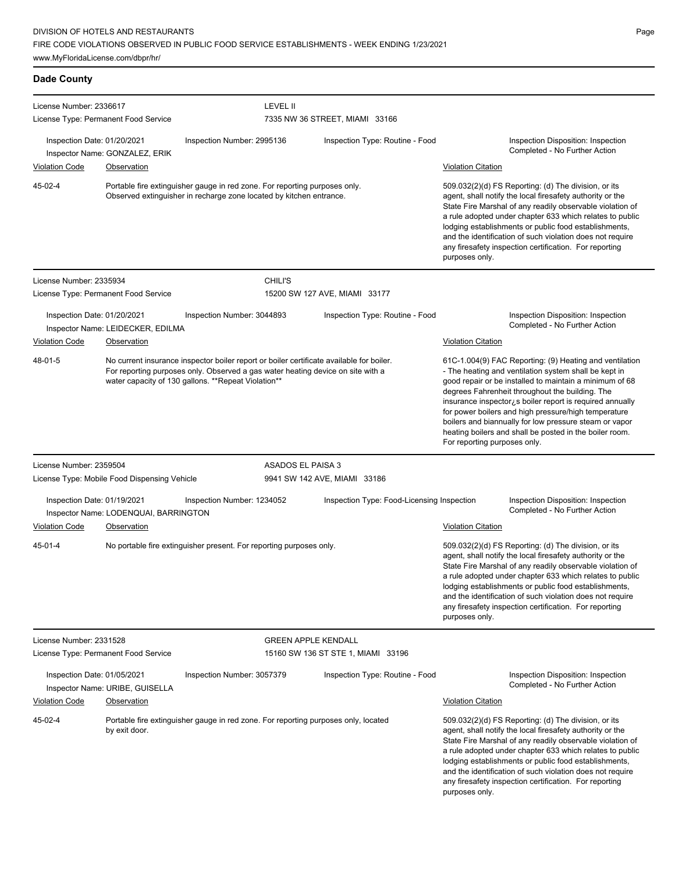### **Dade County**

| License Number: 2336617                              |                                                                                                                                                                                                                                    |                                                                                                                                                   | <b>LEVEL II</b>            |                                                                                                                                                                                                                                                                                                                                                                                                                                                                                                          |                                                                                                                                                                                                                                                                                                                                                                                                                                              |
|------------------------------------------------------|------------------------------------------------------------------------------------------------------------------------------------------------------------------------------------------------------------------------------------|---------------------------------------------------------------------------------------------------------------------------------------------------|----------------------------|----------------------------------------------------------------------------------------------------------------------------------------------------------------------------------------------------------------------------------------------------------------------------------------------------------------------------------------------------------------------------------------------------------------------------------------------------------------------------------------------------------|----------------------------------------------------------------------------------------------------------------------------------------------------------------------------------------------------------------------------------------------------------------------------------------------------------------------------------------------------------------------------------------------------------------------------------------------|
|                                                      | License Type: Permanent Food Service                                                                                                                                                                                               |                                                                                                                                                   |                            | 7335 NW 36 STREET, MIAMI 33166                                                                                                                                                                                                                                                                                                                                                                                                                                                                           |                                                                                                                                                                                                                                                                                                                                                                                                                                              |
| Inspection Date: 01/20/2021                          | Inspector Name: GONZALEZ, ERIK                                                                                                                                                                                                     | Inspection Number: 2995136                                                                                                                        |                            | Inspection Type: Routine - Food                                                                                                                                                                                                                                                                                                                                                                                                                                                                          | Inspection Disposition: Inspection<br>Completed - No Further Action                                                                                                                                                                                                                                                                                                                                                                          |
| <b>Violation Code</b>                                | Observation                                                                                                                                                                                                                        |                                                                                                                                                   |                            |                                                                                                                                                                                                                                                                                                                                                                                                                                                                                                          | <b>Violation Citation</b>                                                                                                                                                                                                                                                                                                                                                                                                                    |
| 45-02-4                                              |                                                                                                                                                                                                                                    | Portable fire extinguisher gauge in red zone. For reporting purposes only.<br>Observed extinguisher in recharge zone located by kitchen entrance. |                            |                                                                                                                                                                                                                                                                                                                                                                                                                                                                                                          | 509.032(2)(d) FS Reporting: (d) The division, or its<br>agent, shall notify the local firesafety authority or the<br>State Fire Marshal of any readily observable violation of<br>a rule adopted under chapter 633 which relates to public<br>lodging establishments or public food establishments,<br>and the identification of such violation does not require<br>any firesafety inspection certification. For reporting<br>purposes only. |
| License Number: 2335934                              |                                                                                                                                                                                                                                    |                                                                                                                                                   | <b>CHILI'S</b>             |                                                                                                                                                                                                                                                                                                                                                                                                                                                                                                          |                                                                                                                                                                                                                                                                                                                                                                                                                                              |
|                                                      | License Type: Permanent Food Service                                                                                                                                                                                               |                                                                                                                                                   |                            | 15200 SW 127 AVE, MIAMI 33177                                                                                                                                                                                                                                                                                                                                                                                                                                                                            |                                                                                                                                                                                                                                                                                                                                                                                                                                              |
| Inspection Date: 01/20/2021                          | Inspector Name: LEIDECKER, EDILMA                                                                                                                                                                                                  | Inspection Number: 3044893                                                                                                                        |                            | Inspection Type: Routine - Food                                                                                                                                                                                                                                                                                                                                                                                                                                                                          | Inspection Disposition: Inspection<br>Completed - No Further Action                                                                                                                                                                                                                                                                                                                                                                          |
| <b>Violation Code</b>                                | Observation                                                                                                                                                                                                                        |                                                                                                                                                   |                            |                                                                                                                                                                                                                                                                                                                                                                                                                                                                                                          | <b>Violation Citation</b>                                                                                                                                                                                                                                                                                                                                                                                                                    |
| 48-01-5                                              | No current insurance inspector boiler report or boiler certificate available for boiler.<br>For reporting purposes only. Observed a gas water heating device on site with a<br>water capacity of 130 gallons. **Repeat Violation** |                                                                                                                                                   |                            | 61C-1.004(9) FAC Reporting: (9) Heating and ventilation<br>- The heating and ventilation system shall be kept in<br>good repair or be installed to maintain a minimum of 68<br>degrees Fahrenheit throughout the building. The<br>insurance inspector is boiler report is required annually<br>for power boilers and high pressure/high temperature<br>boilers and biannually for low pressure steam or vapor<br>heating boilers and shall be posted in the boiler room.<br>For reporting purposes only. |                                                                                                                                                                                                                                                                                                                                                                                                                                              |
| License Number: 2359504                              |                                                                                                                                                                                                                                    |                                                                                                                                                   | ASADOS EL PAISA 3          |                                                                                                                                                                                                                                                                                                                                                                                                                                                                                                          |                                                                                                                                                                                                                                                                                                                                                                                                                                              |
|                                                      | License Type: Mobile Food Dispensing Vehicle                                                                                                                                                                                       |                                                                                                                                                   |                            | 9941 SW 142 AVE, MIAMI 33186                                                                                                                                                                                                                                                                                                                                                                                                                                                                             |                                                                                                                                                                                                                                                                                                                                                                                                                                              |
| Inspection Date: 01/19/2021<br><b>Violation Code</b> | Inspector Name: LODENQUAI, BARRINGTON<br>Observation                                                                                                                                                                               | Inspection Number: 1234052                                                                                                                        |                            | Inspection Type: Food-Licensing Inspection                                                                                                                                                                                                                                                                                                                                                                                                                                                               | Inspection Disposition: Inspection<br>Completed - No Further Action<br><b>Violation Citation</b>                                                                                                                                                                                                                                                                                                                                             |
| 45-01-4                                              |                                                                                                                                                                                                                                    | No portable fire extinguisher present. For reporting purposes only.                                                                               |                            |                                                                                                                                                                                                                                                                                                                                                                                                                                                                                                          | 509.032(2)(d) FS Reporting: (d) The division, or its<br>agent, shall notify the local firesafety authority or the<br>State Fire Marshal of any readily observable violation of<br>a rule adopted under chapter 633 which relates to public<br>lodging establishments or public food establishments,<br>and the identification of such violation does not require<br>any firesafety inspection certification. For reporting<br>purposes only. |
| License Number: 2331528                              |                                                                                                                                                                                                                                    |                                                                                                                                                   | <b>GREEN APPLE KENDALL</b> |                                                                                                                                                                                                                                                                                                                                                                                                                                                                                                          |                                                                                                                                                                                                                                                                                                                                                                                                                                              |
|                                                      | License Type: Permanent Food Service                                                                                                                                                                                               |                                                                                                                                                   |                            | 15160 SW 136 ST STE 1, MIAMI 33196                                                                                                                                                                                                                                                                                                                                                                                                                                                                       |                                                                                                                                                                                                                                                                                                                                                                                                                                              |
| Inspection Date: 01/05/2021                          | Inspector Name: URIBE, GUISELLA                                                                                                                                                                                                    | Inspection Number: 3057379                                                                                                                        |                            | Inspection Type: Routine - Food                                                                                                                                                                                                                                                                                                                                                                                                                                                                          | Inspection Disposition: Inspection<br>Completed - No Further Action                                                                                                                                                                                                                                                                                                                                                                          |
| <b>Violation Code</b>                                | Observation                                                                                                                                                                                                                        |                                                                                                                                                   |                            |                                                                                                                                                                                                                                                                                                                                                                                                                                                                                                          | <b>Violation Citation</b>                                                                                                                                                                                                                                                                                                                                                                                                                    |
| 45-02-4                                              | by exit door.                                                                                                                                                                                                                      | Portable fire extinguisher gauge in red zone. For reporting purposes only, located                                                                |                            |                                                                                                                                                                                                                                                                                                                                                                                                                                                                                                          | 509.032(2)(d) FS Reporting: (d) The division, or its<br>agent, shall notify the local firesafety authority or the<br>State Fire Marshal of any readily observable violation of<br>a rule adopted under chapter 633 which relates to public<br>lodging establishments or public food establishments,<br>and the identification of such violation does not require<br>any firesafety inspection certification. For reporting<br>purposes only. |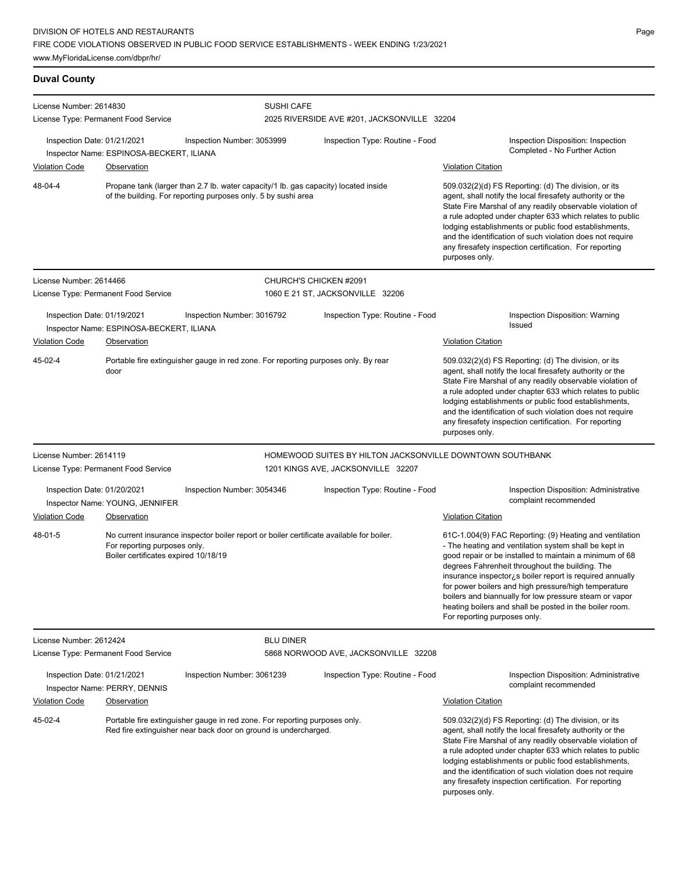### **Duval County**

| License Number: 2614830              | License Type: Permanent Food Service                                 | <b>SUSHI CAFE</b>                                                                                                                                    |                                                                                |                                                                                                                                                                                                                                                                                                                                                                                                                                                                                                          |
|--------------------------------------|----------------------------------------------------------------------|------------------------------------------------------------------------------------------------------------------------------------------------------|--------------------------------------------------------------------------------|----------------------------------------------------------------------------------------------------------------------------------------------------------------------------------------------------------------------------------------------------------------------------------------------------------------------------------------------------------------------------------------------------------------------------------------------------------------------------------------------------------|
| Inspection Date: 01/21/2021          |                                                                      | Inspection Number: 3053999                                                                                                                           | 2025 RIVERSIDE AVE #201, JACKSONVILLE 32204<br>Inspection Type: Routine - Food | Inspection Disposition: Inspection                                                                                                                                                                                                                                                                                                                                                                                                                                                                       |
| <b>Violation Code</b>                | Inspector Name: ESPINOSA-BECKERT, ILIANA<br>Observation              |                                                                                                                                                      |                                                                                | Completed - No Further Action<br><b>Violation Citation</b>                                                                                                                                                                                                                                                                                                                                                                                                                                               |
| 48-04-4                              |                                                                      | Propane tank (larger than 2.7 lb. water capacity/1 lb. gas capacity) located inside<br>of the building. For reporting purposes only. 5 by sushi area |                                                                                | 509.032(2)(d) FS Reporting: (d) The division, or its<br>agent, shall notify the local firesafety authority or the<br>State Fire Marshal of any readily observable violation of<br>a rule adopted under chapter 633 which relates to public<br>lodging establishments or public food establishments,<br>and the identification of such violation does not require<br>any firesafety inspection certification. For reporting<br>purposes only.                                                             |
| License Number: 2614466              |                                                                      |                                                                                                                                                      | CHURCH'S CHICKEN #2091                                                         |                                                                                                                                                                                                                                                                                                                                                                                                                                                                                                          |
|                                      | License Type: Permanent Food Service                                 |                                                                                                                                                      | 1060 E 21 ST, JACKSONVILLE 32206                                               |                                                                                                                                                                                                                                                                                                                                                                                                                                                                                                          |
| Inspection Date: 01/19/2021          | Inspector Name: ESPINOSA-BECKERT, ILIANA                             | Inspection Number: 3016792                                                                                                                           | Inspection Type: Routine - Food                                                | Inspection Disposition: Warning<br><b>Issued</b>                                                                                                                                                                                                                                                                                                                                                                                                                                                         |
| <b>Violation Code</b>                | Observation                                                          |                                                                                                                                                      |                                                                                | <b>Violation Citation</b>                                                                                                                                                                                                                                                                                                                                                                                                                                                                                |
| 45-02-4                              | door                                                                 | Portable fire extinguisher gauge in red zone. For reporting purposes only. By rear                                                                   |                                                                                | 509.032(2)(d) FS Reporting: (d) The division, or its<br>agent, shall notify the local firesafety authority or the<br>State Fire Marshal of any readily observable violation of<br>a rule adopted under chapter 633 which relates to public<br>lodging establishments or public food establishments,<br>and the identification of such violation does not require<br>any firesafety inspection certification. For reporting<br>purposes only.                                                             |
| License Number: 2614119              |                                                                      |                                                                                                                                                      | HOMEWOOD SUITES BY HILTON JACKSONVILLE DOWNTOWN SOUTHBANK                      |                                                                                                                                                                                                                                                                                                                                                                                                                                                                                                          |
|                                      | License Type: Permanent Food Service                                 |                                                                                                                                                      | 1201 KINGS AVE, JACKSONVILLE 32207                                             |                                                                                                                                                                                                                                                                                                                                                                                                                                                                                                          |
| Inspection Date: 01/20/2021          | Inspector Name: YOUNG, JENNIFER                                      | Inspection Number: 3054346                                                                                                                           | Inspection Type: Routine - Food                                                | Inspection Disposition: Administrative<br>complaint recommended                                                                                                                                                                                                                                                                                                                                                                                                                                          |
| Violation Code                       | Observation                                                          |                                                                                                                                                      |                                                                                | <b>Violation Citation</b>                                                                                                                                                                                                                                                                                                                                                                                                                                                                                |
| 48-01-5                              | For reporting purposes only.<br>Boiler certificates expired 10/18/19 | No current insurance inspector boiler report or boiler certificate available for boiler.                                                             |                                                                                | 61C-1.004(9) FAC Reporting: (9) Heating and ventilation<br>- The heating and ventilation system shall be kept in<br>good repair or be installed to maintain a minimum of 68<br>degrees Fahrenheit throughout the building. The<br>insurance inspector is boiler report is required annually<br>for power boilers and high pressure/high temperature<br>boilers and biannually for low pressure steam or vapor<br>heating boilers and shall be posted in the boiler room.<br>For reporting purposes only. |
| License Number: 2612424              |                                                                      | <b>BLU DINER</b>                                                                                                                                     |                                                                                |                                                                                                                                                                                                                                                                                                                                                                                                                                                                                                          |
| License Type: Permanent Food Service |                                                                      |                                                                                                                                                      | 5868 NORWOOD AVE, JACKSONVILLE 32208                                           |                                                                                                                                                                                                                                                                                                                                                                                                                                                                                                          |
| Inspection Date: 01/21/2021          | Inspector Name: PERRY, DENNIS                                        | Inspection Number: 3061239                                                                                                                           | Inspection Type: Routine - Food                                                | Inspection Disposition: Administrative<br>complaint recommended                                                                                                                                                                                                                                                                                                                                                                                                                                          |
| <b>Violation Code</b>                | Observation                                                          |                                                                                                                                                      |                                                                                | <b>Violation Citation</b>                                                                                                                                                                                                                                                                                                                                                                                                                                                                                |
| 45-02-4                              |                                                                      | Portable fire extinguisher gauge in red zone. For reporting purposes only.<br>Red fire extinguisher near back door on ground is undercharged.        |                                                                                | 509.032(2)(d) FS Reporting: (d) The division, or its<br>agent, shall notify the local firesafety authority or the<br>State Fire Marshal of any readily observable violation of<br>a rule adopted under chapter 633 which relates to public<br>lodging establishments or public food establishments,<br>and the identification of such violation does not require<br>any firesafety inspection certification. For reporting<br>purposes only.                                                             |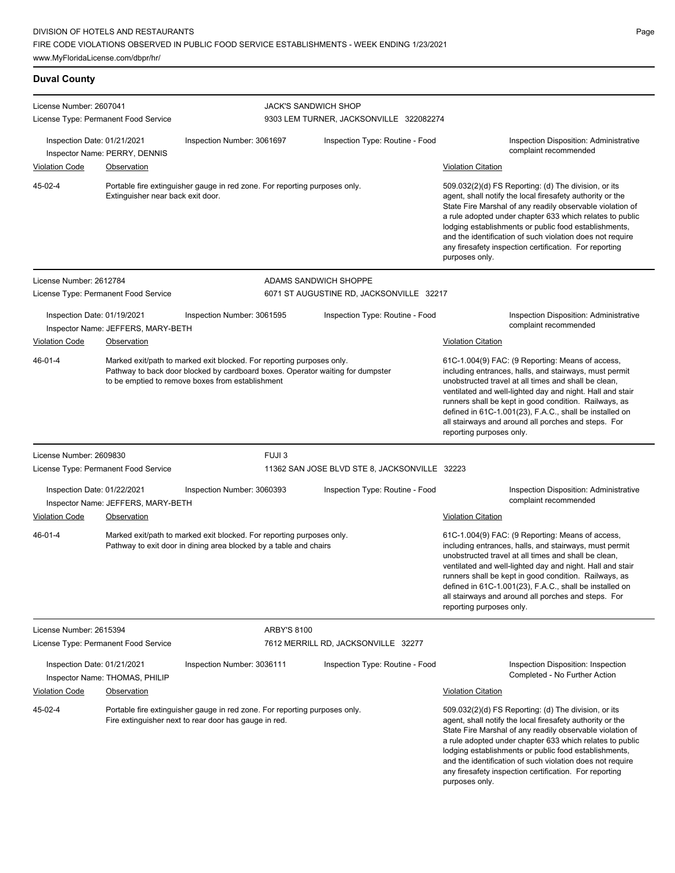### **Duval County**

| License Number: 2607041                              |                                                   |                                                                                                                                                                                                             | <b>JACK'S SANDWICH SHOP</b>                   |                                                                                                                                                                                                                                                                                                                                                                                                                                              |
|------------------------------------------------------|---------------------------------------------------|-------------------------------------------------------------------------------------------------------------------------------------------------------------------------------------------------------------|-----------------------------------------------|----------------------------------------------------------------------------------------------------------------------------------------------------------------------------------------------------------------------------------------------------------------------------------------------------------------------------------------------------------------------------------------------------------------------------------------------|
|                                                      | License Type: Permanent Food Service              |                                                                                                                                                                                                             | 9303 LEM TURNER, JACKSONVILLE 322082274       |                                                                                                                                                                                                                                                                                                                                                                                                                                              |
| Inspection Date: 01/21/2021<br><b>Violation Code</b> | Inspector Name: PERRY, DENNIS<br>Observation      | Inspection Number: 3061697                                                                                                                                                                                  | Inspection Type: Routine - Food               | <b>Inspection Disposition: Administrative</b><br>complaint recommended<br><b>Violation Citation</b>                                                                                                                                                                                                                                                                                                                                          |
| 45-02-4                                              | Extinguisher near back exit door.                 | Portable fire extinguisher gauge in red zone. For reporting purposes only.                                                                                                                                  |                                               | 509.032(2)(d) FS Reporting: (d) The division, or its<br>agent, shall notify the local firesafety authority or the<br>State Fire Marshal of any readily observable violation of<br>a rule adopted under chapter 633 which relates to public<br>lodging establishments or public food establishments,<br>and the identification of such violation does not require<br>any firesafety inspection certification. For reporting<br>purposes only. |
| License Number: 2612784                              |                                                   |                                                                                                                                                                                                             | ADAMS SANDWICH SHOPPE                         |                                                                                                                                                                                                                                                                                                                                                                                                                                              |
|                                                      | License Type: Permanent Food Service              |                                                                                                                                                                                                             | 6071 ST AUGUSTINE RD, JACKSONVILLE 32217      |                                                                                                                                                                                                                                                                                                                                                                                                                                              |
| Inspection Date: 01/19/2021                          | Inspector Name: JEFFERS, MARY-BETH                | Inspection Number: 3061595                                                                                                                                                                                  | Inspection Type: Routine - Food               | <b>Inspection Disposition: Administrative</b><br>complaint recommended                                                                                                                                                                                                                                                                                                                                                                       |
| <b>Violation Code</b>                                | Observation                                       |                                                                                                                                                                                                             |                                               | <b>Violation Citation</b>                                                                                                                                                                                                                                                                                                                                                                                                                    |
| 46-01-4                                              |                                                   | Marked exit/path to marked exit blocked. For reporting purposes only.<br>Pathway to back door blocked by cardboard boxes. Operator waiting for dumpster<br>to be emptied to remove boxes from establishment |                                               | 61C-1.004(9) FAC: (9 Reporting: Means of access,<br>including entrances, halls, and stairways, must permit<br>unobstructed travel at all times and shall be clean,<br>ventilated and well-lighted day and night. Hall and stair<br>runners shall be kept in good condition. Railways, as<br>defined in 61C-1.001(23), F.A.C., shall be installed on<br>all stairways and around all porches and steps. For<br>reporting purposes only.       |
| License Number: 2609830                              |                                                   | FUJI <sub>3</sub>                                                                                                                                                                                           |                                               |                                                                                                                                                                                                                                                                                                                                                                                                                                              |
|                                                      | License Type: Permanent Food Service              |                                                                                                                                                                                                             | 11362 SAN JOSE BLVD STE 8, JACKSONVILLE 32223 |                                                                                                                                                                                                                                                                                                                                                                                                                                              |
| Inspection Date: 01/22/2021<br><b>Violation Code</b> | Inspector Name: JEFFERS, MARY-BETH<br>Observation | Inspection Number: 3060393                                                                                                                                                                                  | Inspection Type: Routine - Food               | Inspection Disposition: Administrative<br>complaint recommended<br><b>Violation Citation</b>                                                                                                                                                                                                                                                                                                                                                 |
| 46-01-4                                              |                                                   | Marked exit/path to marked exit blocked. For reporting purposes only.<br>Pathway to exit door in dining area blocked by a table and chairs                                                                  |                                               | 61C-1.004(9) FAC: (9 Reporting: Means of access,<br>including entrances, halls, and stairways, must permit<br>unobstructed travel at all times and shall be clean,<br>ventilated and well-lighted day and night. Hall and stair<br>runners shall be kept in good condition. Railways, as<br>defined in 61C-1.001(23), F.A.C., shall be installed on<br>all stairways and around all porches and steps. For<br>reporting purposes only.       |
| License Number: 2615394                              | License Type: Permanent Food Service              | <b>ARBY'S 8100</b>                                                                                                                                                                                          | 7612 MERRILL RD, JACKSONVILLE 32277           |                                                                                                                                                                                                                                                                                                                                                                                                                                              |
| Inspection Date: 01/21/2021                          | Inspector Name: THOMAS, PHILIP                    | Inspection Number: 3036111                                                                                                                                                                                  | Inspection Type: Routine - Food               | Inspection Disposition: Inspection<br>Completed - No Further Action                                                                                                                                                                                                                                                                                                                                                                          |
| <b>Violation Code</b>                                | <b>Observation</b>                                |                                                                                                                                                                                                             |                                               | <b>Violation Citation</b>                                                                                                                                                                                                                                                                                                                                                                                                                    |
| 45-02-4                                              |                                                   | Portable fire extinguisher gauge in red zone. For reporting purposes only.<br>Fire extinguisher next to rear door has gauge in red.                                                                         |                                               | 509.032(2)(d) FS Reporting: (d) The division, or its<br>agent, shall notify the local firesafety authority or the<br>State Fire Marshal of any readily observable violation of<br>a rule adopted under chapter 633 which relates to public<br>lodging establishments or public food establishments,<br>and the identification of such violation does not require<br>any firesafety inspection certification. For reporting<br>purposes only. |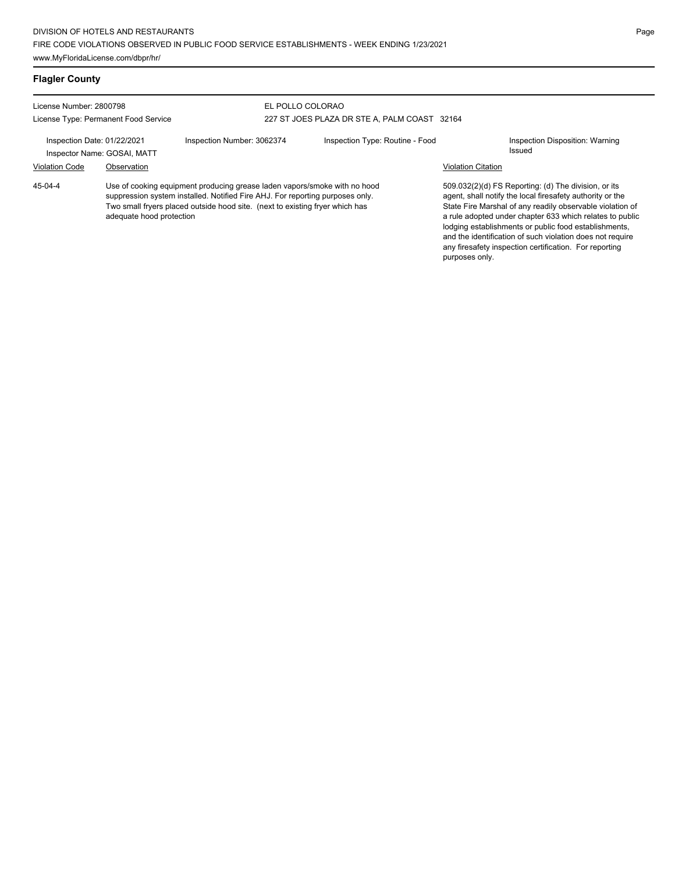### **Flagler County**

| License Number: 2800798<br>License Type: Permanent Food Service |                          | EL POLLO COLORAO                                                                                                                                                                                                                           | 227 ST JOES PLAZA DR STE A. PALM COAST 32164 |                                 |                           |                                                                                                                                                                                                                                                                                                                                                                                                                            |
|-----------------------------------------------------------------|--------------------------|--------------------------------------------------------------------------------------------------------------------------------------------------------------------------------------------------------------------------------------------|----------------------------------------------|---------------------------------|---------------------------|----------------------------------------------------------------------------------------------------------------------------------------------------------------------------------------------------------------------------------------------------------------------------------------------------------------------------------------------------------------------------------------------------------------------------|
| Inspection Date: 01/22/2021<br>Inspector Name: GOSAI, MATT      |                          | Inspection Number: 3062374                                                                                                                                                                                                                 |                                              | Inspection Type: Routine - Food |                           | Inspection Disposition: Warning<br>Issued                                                                                                                                                                                                                                                                                                                                                                                  |
| <b>Violation Code</b>                                           | Observation              |                                                                                                                                                                                                                                            |                                              |                                 | <b>Violation Citation</b> |                                                                                                                                                                                                                                                                                                                                                                                                                            |
| $45-04-4$                                                       | adequate hood protection | Use of cooking equipment producing grease laden vapors/smoke with no hood<br>suppression system installed. Notified Fire AHJ. For reporting purposes only.<br>Two small fryers placed outside hood site. (next to existing fryer which has |                                              |                                 |                           | 509.032(2)(d) FS Reporting: (d) The division, or its<br>agent, shall notify the local firesafety authority or the<br>State Fire Marshal of any readily observable violation of<br>a rule adopted under chapter 633 which relates to public<br>lodging establishments or public food establishments,<br>and the identification of such violation does not require<br>any firesafety inspection certification. For reporting |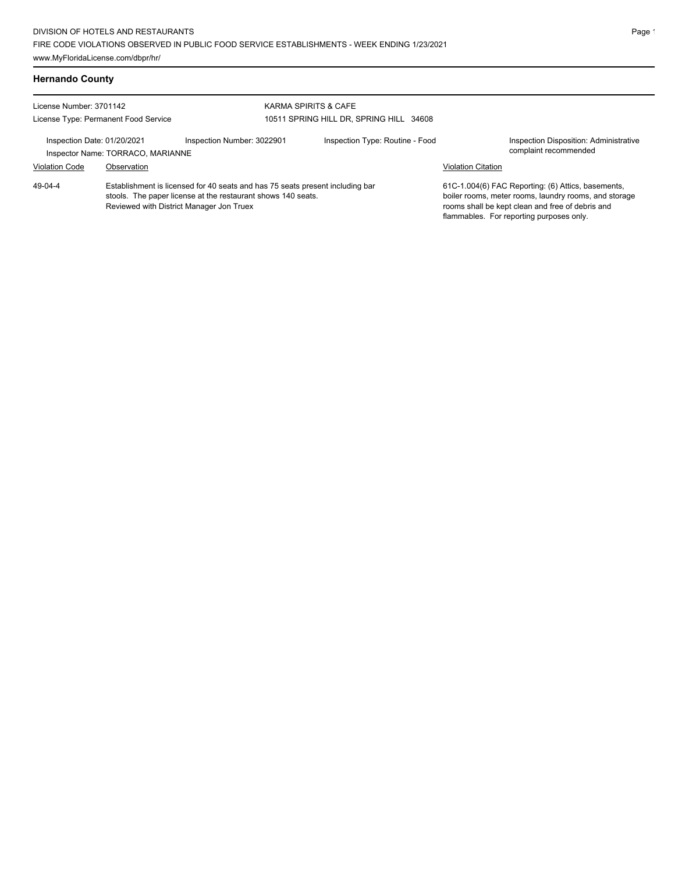### **Hernando County**

| License Number: 3701142<br>License Type: Permanent Food Service                                          |                                                                                                                                                                                           |                            | <b>KARMA SPIRITS &amp; CAFE</b><br>10511 SPRING HILL DR, SPRING HILL 34608 |                           |                                                                                                                                                                                                             |
|----------------------------------------------------------------------------------------------------------|-------------------------------------------------------------------------------------------------------------------------------------------------------------------------------------------|----------------------------|----------------------------------------------------------------------------|---------------------------|-------------------------------------------------------------------------------------------------------------------------------------------------------------------------------------------------------------|
| Inspection Date: 01/20/2021<br>Inspector Name: TORRACO, MARIANNE<br><b>Violation Code</b><br>Observation |                                                                                                                                                                                           | Inspection Number: 3022901 | Inspection Type: Routine - Food                                            | <b>Violation Citation</b> | Inspection Disposition: Administrative<br>complaint recommended                                                                                                                                             |
| 49-04-4                                                                                                  | Establishment is licensed for 40 seats and has 75 seats present including bar<br>stools. The paper license at the restaurant shows 140 seats.<br>Reviewed with District Manager Jon Truex |                            |                                                                            |                           | 61C-1.004(6) FAC Reporting: (6) Attics, basements,<br>boiler rooms, meter rooms, laundry rooms, and storage<br>rooms shall be kept clean and free of debris and<br>flammables. For reporting purposes only. |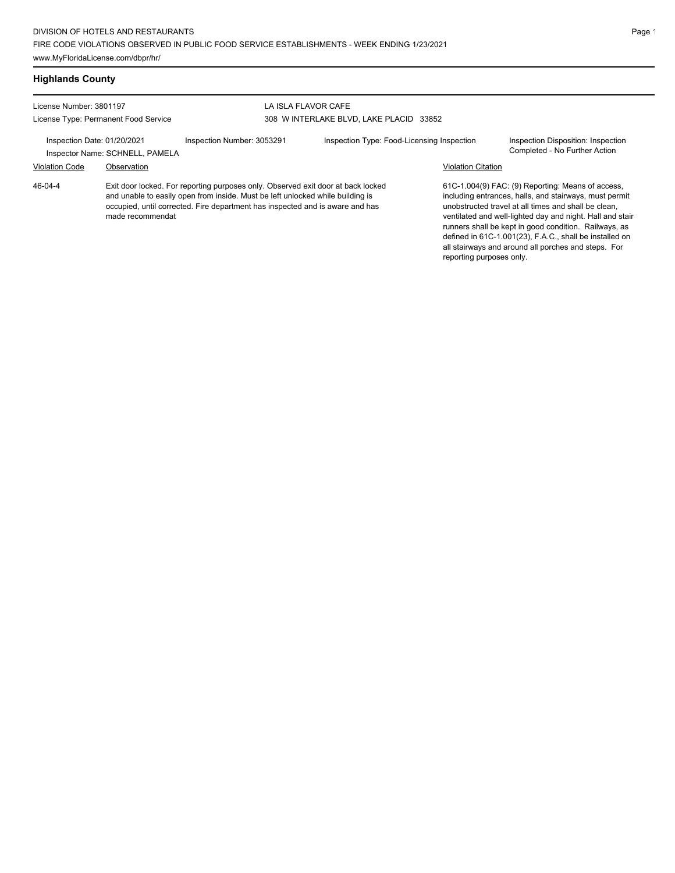## **Highlands County**

| License Number: 3801197<br>License Type: Permanent Food Service |                                 |                                                                                                                                                                                                                                                     | LA ISLA FLAVOR CAFE<br>308 W INTERLAKE BLVD, LAKE PLACID 33852 |                           |                                                                                                                                                                                                                                                                                                                                                                                                             |  |  |
|-----------------------------------------------------------------|---------------------------------|-----------------------------------------------------------------------------------------------------------------------------------------------------------------------------------------------------------------------------------------------------|----------------------------------------------------------------|---------------------------|-------------------------------------------------------------------------------------------------------------------------------------------------------------------------------------------------------------------------------------------------------------------------------------------------------------------------------------------------------------------------------------------------------------|--|--|
| Inspection Date: 01/20/2021                                     | Inspector Name: SCHNELL, PAMELA | Inspection Number: 3053291                                                                                                                                                                                                                          | Inspection Type: Food-Licensing Inspection                     |                           | Inspection Disposition: Inspection<br>Completed - No Further Action                                                                                                                                                                                                                                                                                                                                         |  |  |
| <b>Violation Code</b>                                           | Observation                     |                                                                                                                                                                                                                                                     |                                                                | <b>Violation Citation</b> |                                                                                                                                                                                                                                                                                                                                                                                                             |  |  |
| $46 - 04 - 4$                                                   | made recommendat                | Exit door locked. For reporting purposes only. Observed exit door at back locked<br>and unable to easily open from inside. Must be left unlocked while building is<br>occupied, until corrected. Fire department has inspected and is aware and has |                                                                | reporting purposes only.  | 61C-1.004(9) FAC: (9) Reporting: Means of access,<br>including entrances, halls, and stairways, must permit<br>unobstructed travel at all times and shall be clean,<br>ventilated and well-lighted day and night. Hall and stair<br>runners shall be kept in good condition. Railways, as<br>defined in 61C-1.001(23), F.A.C., shall be installed on<br>all stairways and around all porches and steps. For |  |  |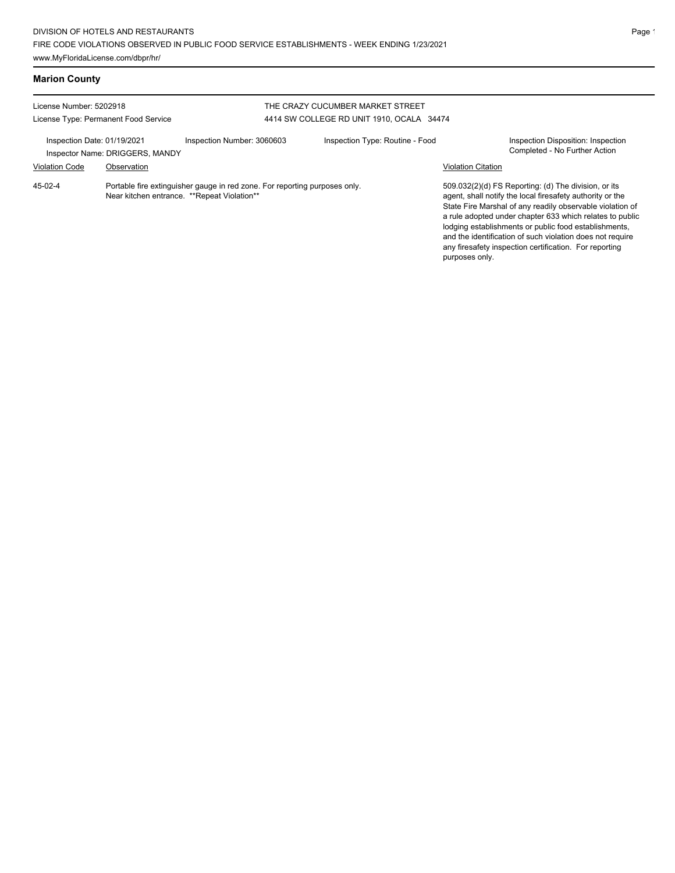### **Marion County**

| License Number: 5202918<br>License Type: Permanent Food Service |                                                                                                                           |                            | THE CRAZY CUCUMBER MARKET STREET<br>4414 SW COLLEGE RD UNIT 1910, OCALA 34474 |                           |                                                                                                                                                                                                                                                                                                                                                                                                                            |
|-----------------------------------------------------------------|---------------------------------------------------------------------------------------------------------------------------|----------------------------|-------------------------------------------------------------------------------|---------------------------|----------------------------------------------------------------------------------------------------------------------------------------------------------------------------------------------------------------------------------------------------------------------------------------------------------------------------------------------------------------------------------------------------------------------------|
| Inspection Date: 01/19/2021                                     | Inspector Name: DRIGGERS, MANDY                                                                                           | Inspection Number: 3060603 | Inspection Type: Routine - Food                                               |                           | Inspection Disposition: Inspection<br>Completed - No Further Action                                                                                                                                                                                                                                                                                                                                                        |
| <b>Violation Code</b>                                           | Observation                                                                                                               |                            |                                                                               | <b>Violation Citation</b> |                                                                                                                                                                                                                                                                                                                                                                                                                            |
| 45-02-4                                                         | Portable fire extinguisher gauge in red zone. For reporting purposes only.<br>Near kitchen entrance. **Repeat Violation** |                            |                                                                               |                           | 509.032(2)(d) FS Reporting: (d) The division, or its<br>agent, shall notify the local firesafety authority or the<br>State Fire Marshal of any readily observable violation of<br>a rule adopted under chapter 633 which relates to public<br>lodging establishments or public food establishments.<br>and the identification of such violation does not require<br>any firesafety inspection certification. For reporting |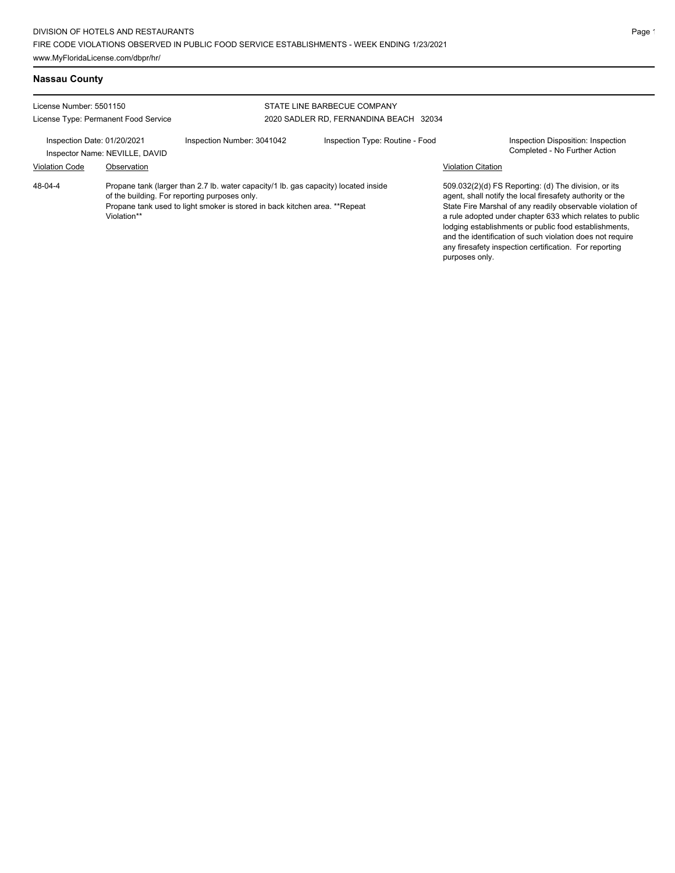## **Nassau County**

| License Number: 5501150                                       |                                      |                                                                                                                                                                                                                    | STATE LINE BARBECUE COMPANY            |                                                                                                                                                                                                                                                                                                                                                                                                                            |                                                                     |  |
|---------------------------------------------------------------|--------------------------------------|--------------------------------------------------------------------------------------------------------------------------------------------------------------------------------------------------------------------|----------------------------------------|----------------------------------------------------------------------------------------------------------------------------------------------------------------------------------------------------------------------------------------------------------------------------------------------------------------------------------------------------------------------------------------------------------------------------|---------------------------------------------------------------------|--|
|                                                               | License Type: Permanent Food Service |                                                                                                                                                                                                                    | 2020 SADLER RD, FERNANDINA BEACH 32034 |                                                                                                                                                                                                                                                                                                                                                                                                                            |                                                                     |  |
| Inspection Date: 01/20/2021<br>Inspector Name: NEVILLE, DAVID |                                      | Inspection Number: 3041042<br>Inspection Type: Routine - Food                                                                                                                                                      |                                        |                                                                                                                                                                                                                                                                                                                                                                                                                            | Inspection Disposition: Inspection<br>Completed - No Further Action |  |
| <b>Violation Code</b>                                         | Observation                          |                                                                                                                                                                                                                    | <b>Violation Citation</b>              |                                                                                                                                                                                                                                                                                                                                                                                                                            |                                                                     |  |
| 48-04-4                                                       | Violation**                          | Propane tank (larger than 2.7 lb. water capacity/1 lb. gas capacity) located inside<br>of the building. For reporting purposes only.<br>Propane tank used to light smoker is stored in back kitchen area. **Repeat | purposes only.                         | 509.032(2)(d) FS Reporting: (d) The division, or its<br>agent, shall notify the local firesafety authority or the<br>State Fire Marshal of any readily observable violation of<br>a rule adopted under chapter 633 which relates to public<br>lodging establishments or public food establishments,<br>and the identification of such violation does not require<br>any firesafety inspection certification. For reporting |                                                                     |  |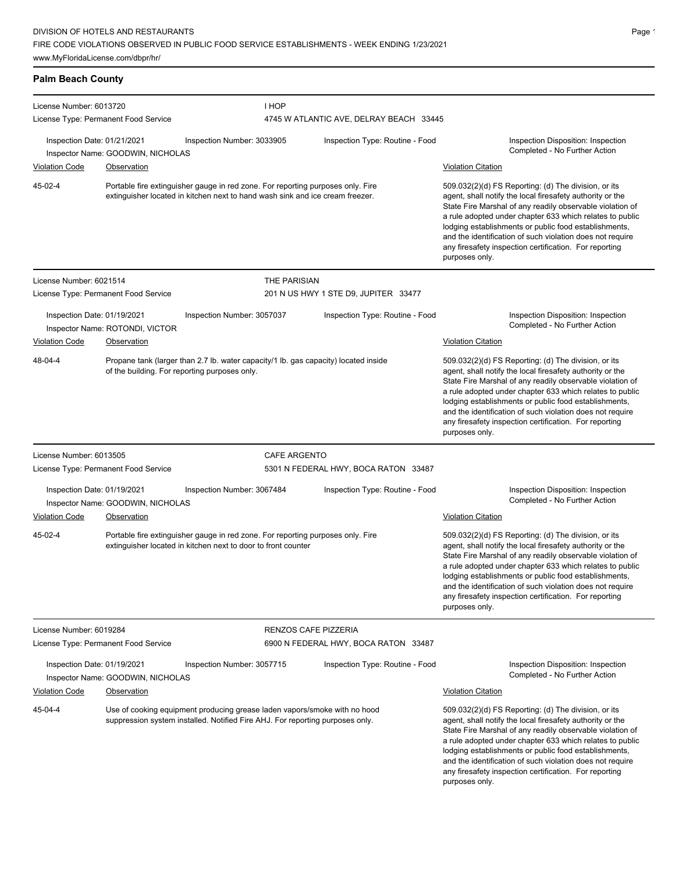# **Palm Beach County**

| License Number: 6013720                                                                                                                                               |                                      |                                                                                                                                                                  | I HOP                                |                                         |                                                                                                                                                                                                                                                                                                                                                                                                                                              |  |  |
|-----------------------------------------------------------------------------------------------------------------------------------------------------------------------|--------------------------------------|------------------------------------------------------------------------------------------------------------------------------------------------------------------|--------------------------------------|-----------------------------------------|----------------------------------------------------------------------------------------------------------------------------------------------------------------------------------------------------------------------------------------------------------------------------------------------------------------------------------------------------------------------------------------------------------------------------------------------|--|--|
|                                                                                                                                                                       | License Type: Permanent Food Service |                                                                                                                                                                  |                                      | 4745 W ATLANTIC AVE, DELRAY BEACH 33445 |                                                                                                                                                                                                                                                                                                                                                                                                                                              |  |  |
| Inspection Date: 01/21/2021                                                                                                                                           | Inspector Name: GOODWIN, NICHOLAS    | Inspection Number: 3033905                                                                                                                                       |                                      | Inspection Type: Routine - Food         | Inspection Disposition: Inspection<br>Completed - No Further Action                                                                                                                                                                                                                                                                                                                                                                          |  |  |
| <b>Violation Code</b>                                                                                                                                                 | Observation                          |                                                                                                                                                                  |                                      |                                         | <b>Violation Citation</b>                                                                                                                                                                                                                                                                                                                                                                                                                    |  |  |
| 45-02-4                                                                                                                                                               |                                      | Portable fire extinguisher gauge in red zone. For reporting purposes only. Fire<br>extinguisher located in kitchen next to hand wash sink and ice cream freezer. |                                      |                                         | 509.032(2)(d) FS Reporting: (d) The division, or its<br>agent, shall notify the local firesafety authority or the<br>State Fire Marshal of any readily observable violation of<br>a rule adopted under chapter 633 which relates to public<br>lodging establishments or public food establishments,<br>and the identification of such violation does not require<br>any firesafety inspection certification. For reporting<br>purposes only. |  |  |
| License Number: 6021514                                                                                                                                               |                                      |                                                                                                                                                                  | THE PARISIAN                         |                                         |                                                                                                                                                                                                                                                                                                                                                                                                                                              |  |  |
|                                                                                                                                                                       | License Type: Permanent Food Service |                                                                                                                                                                  |                                      | 201 N US HWY 1 STE D9, JUPITER 33477    |                                                                                                                                                                                                                                                                                                                                                                                                                                              |  |  |
| Inspection Date: 01/19/2021<br>Inspector Name: ROTONDI, VICTOR                                                                                                        |                                      | Inspection Number: 3057037                                                                                                                                       |                                      | Inspection Type: Routine - Food         | Inspection Disposition: Inspection<br>Completed - No Further Action                                                                                                                                                                                                                                                                                                                                                                          |  |  |
| <b>Violation Code</b>                                                                                                                                                 | Observation                          |                                                                                                                                                                  |                                      |                                         | <b>Violation Citation</b>                                                                                                                                                                                                                                                                                                                                                                                                                    |  |  |
| 48-04-4                                                                                                                                                               |                                      | Propane tank (larger than 2.7 lb. water capacity/1 lb. gas capacity) located inside<br>of the building. For reporting purposes only.                             |                                      |                                         | 509.032(2)(d) FS Reporting: (d) The division, or its<br>agent, shall notify the local firesafety authority or the<br>State Fire Marshal of any readily observable violation of<br>a rule adopted under chapter 633 which relates to public<br>lodging establishments or public food establishments,<br>and the identification of such violation does not require<br>any firesafety inspection certification. For reporting<br>purposes only. |  |  |
| License Number: 6013505                                                                                                                                               |                                      |                                                                                                                                                                  | <b>CAFE ARGENTO</b>                  |                                         |                                                                                                                                                                                                                                                                                                                                                                                                                                              |  |  |
|                                                                                                                                                                       | License Type: Permanent Food Service |                                                                                                                                                                  | 5301 N FEDERAL HWY, BOCA RATON 33487 |                                         |                                                                                                                                                                                                                                                                                                                                                                                                                                              |  |  |
| Inspection Date: 01/19/2021                                                                                                                                           | Inspector Name: GOODWIN, NICHOLAS    | Inspection Number: 3067484                                                                                                                                       |                                      | Inspection Type: Routine - Food         | Inspection Disposition: Inspection<br>Completed - No Further Action                                                                                                                                                                                                                                                                                                                                                                          |  |  |
| <b>Violation Code</b>                                                                                                                                                 | <b>Observation</b>                   |                                                                                                                                                                  |                                      |                                         | <b>Violation Citation</b>                                                                                                                                                                                                                                                                                                                                                                                                                    |  |  |
| 45-02-4                                                                                                                                                               |                                      | Portable fire extinguisher gauge in red zone. For reporting purposes only. Fire<br>extinguisher located in kitchen next to door to front counter                 |                                      |                                         | 509.032(2)(d) FS Reporting: (d) The division, or its<br>agent, shall notify the local firesafety authority or the<br>State Fire Marshal of any readily observable violation of<br>a rule adopted under chapter 633 which relates to public<br>lodging establishments or public food establishments,<br>and the identification of such violation does not require<br>any firesafety inspection certification. For reporting<br>purposes only. |  |  |
| License Number: 6019284                                                                                                                                               |                                      |                                                                                                                                                                  | <b>RENZOS CAFE PIZZERIA</b>          |                                         |                                                                                                                                                                                                                                                                                                                                                                                                                                              |  |  |
| License Type: Permanent Food Service                                                                                                                                  |                                      |                                                                                                                                                                  | 6900 N FEDERAL HWY, BOCA RATON 33487 |                                         |                                                                                                                                                                                                                                                                                                                                                                                                                                              |  |  |
| Inspection Date: 01/19/2021<br>Inspector Name: GOODWIN, NICHOLAS                                                                                                      |                                      | Inspection Number: 3057715                                                                                                                                       | Inspection Type: Routine - Food      |                                         | Inspection Disposition: Inspection<br>Completed - No Further Action                                                                                                                                                                                                                                                                                                                                                                          |  |  |
| <b>Violation Code</b>                                                                                                                                                 | Observation                          |                                                                                                                                                                  |                                      |                                         | <b>Violation Citation</b>                                                                                                                                                                                                                                                                                                                                                                                                                    |  |  |
| 45-04-4<br>Use of cooking equipment producing grease laden vapors/smoke with no hood<br>suppression system installed. Notified Fire AHJ. For reporting purposes only. |                                      |                                                                                                                                                                  |                                      |                                         | 509.032(2)(d) FS Reporting: (d) The division, or its<br>agent, shall notify the local firesafety authority or the<br>State Fire Marshal of any readily observable violation of<br>a rule adopted under chapter 633 which relates to public<br>lodging establishments or public food establishments,<br>and the identification of such violation does not require<br>any firesafety inspection certification. For reporting<br>purposes only. |  |  |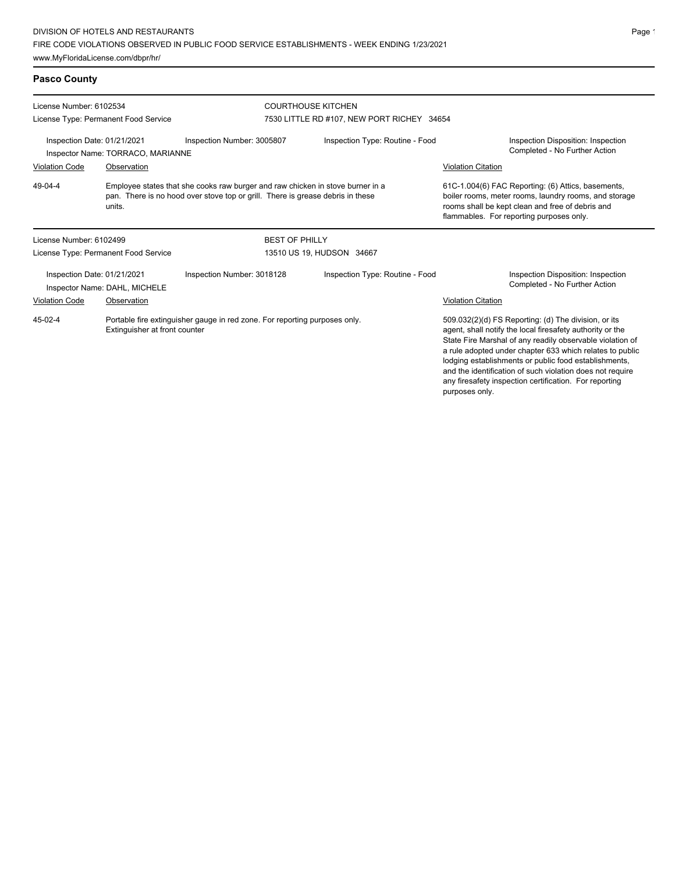### **Pasco County**

| License Number: 6102534                                                                                                | License Type: Permanent Food Service |                                                                                                                                                                  | <b>COURTHOUSE KITCHEN</b><br>7530 LITTLE RD #107, NEW PORT RICHEY 34654 |                                                                                                                                                                                                                                                                                                                                                                                                                            |  |  |  |
|------------------------------------------------------------------------------------------------------------------------|--------------------------------------|------------------------------------------------------------------------------------------------------------------------------------------------------------------|-------------------------------------------------------------------------|----------------------------------------------------------------------------------------------------------------------------------------------------------------------------------------------------------------------------------------------------------------------------------------------------------------------------------------------------------------------------------------------------------------------------|--|--|--|
| Inspection Date: 01/21/2021<br>Inspector Name: TORRACO, MARIANNE                                                       |                                      | Inspection Number: 3005807                                                                                                                                       | Inspection Type: Routine - Food                                         | Inspection Disposition: Inspection<br>Completed - No Further Action                                                                                                                                                                                                                                                                                                                                                        |  |  |  |
| <b>Violation Code</b>                                                                                                  | Observation                          |                                                                                                                                                                  |                                                                         | <b>Violation Citation</b>                                                                                                                                                                                                                                                                                                                                                                                                  |  |  |  |
| 49-04-4                                                                                                                | units.                               | Employee states that she cooks raw burger and raw chicken in stove burner in a<br>pan. There is no hood over stove top or grill. There is grease debris in these |                                                                         | 61C-1.004(6) FAC Reporting: (6) Attics, basements,<br>boiler rooms, meter rooms, laundry rooms, and storage<br>rooms shall be kept clean and free of debris and<br>flammables. For reporting purposes only.                                                                                                                                                                                                                |  |  |  |
| License Number: 6102499                                                                                                |                                      |                                                                                                                                                                  | <b>BEST OF PHILLY</b>                                                   |                                                                                                                                                                                                                                                                                                                                                                                                                            |  |  |  |
|                                                                                                                        | License Type: Permanent Food Service |                                                                                                                                                                  | 13510 US 19, HUDSON 34667                                               |                                                                                                                                                                                                                                                                                                                                                                                                                            |  |  |  |
| Inspection Date: 01/21/2021<br>Inspector Name: DAHL, MICHELE                                                           |                                      | Inspection Number: 3018128                                                                                                                                       | Inspection Type: Routine - Food                                         | Inspection Disposition: Inspection<br>Completed - No Further Action                                                                                                                                                                                                                                                                                                                                                        |  |  |  |
| <b>Violation Code</b><br>Observation                                                                                   |                                      |                                                                                                                                                                  |                                                                         | <b>Violation Citation</b>                                                                                                                                                                                                                                                                                                                                                                                                  |  |  |  |
| 45-02-4<br>Portable fire extinguisher gauge in red zone. For reporting purposes only.<br>Extinguisher at front counter |                                      |                                                                                                                                                                  |                                                                         | 509.032(2)(d) FS Reporting: (d) The division, or its<br>agent, shall notify the local firesafety authority or the<br>State Fire Marshal of any readily observable violation of<br>a rule adopted under chapter 633 which relates to public<br>lodging establishments or public food establishments,<br>and the identification of such violation does not require<br>any firesafety inspection certification. For reporting |  |  |  |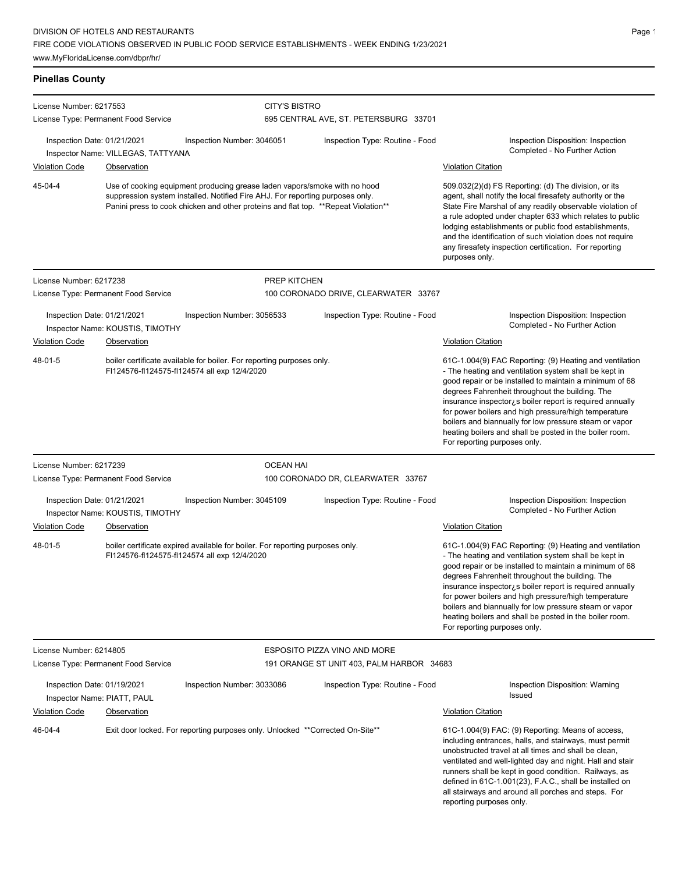### **Pinellas County**

| License Number: 6217553                                                                                                                                                                                                                                     |                                    |                                                                                                                               | <b>CITY'S BISTRO</b>                      |                                                                                                                                                                                                                                                                                                                                                                                                                                                                                                          |  |
|-------------------------------------------------------------------------------------------------------------------------------------------------------------------------------------------------------------------------------------------------------------|------------------------------------|-------------------------------------------------------------------------------------------------------------------------------|-------------------------------------------|----------------------------------------------------------------------------------------------------------------------------------------------------------------------------------------------------------------------------------------------------------------------------------------------------------------------------------------------------------------------------------------------------------------------------------------------------------------------------------------------------------|--|
| License Type: Permanent Food Service                                                                                                                                                                                                                        |                                    |                                                                                                                               | 695 CENTRAL AVE, ST. PETERSBURG 33701     |                                                                                                                                                                                                                                                                                                                                                                                                                                                                                                          |  |
| Inspection Date: 01/21/2021                                                                                                                                                                                                                                 | Inspector Name: VILLEGAS, TATTYANA | Inspection Number: 3046051                                                                                                    | Inspection Type: Routine - Food           | Inspection Disposition: Inspection<br>Completed - No Further Action                                                                                                                                                                                                                                                                                                                                                                                                                                      |  |
| <b>Violation Code</b>                                                                                                                                                                                                                                       | Observation                        |                                                                                                                               |                                           | <b>Violation Citation</b>                                                                                                                                                                                                                                                                                                                                                                                                                                                                                |  |
| 45-04-4<br>Use of cooking equipment producing grease laden vapors/smoke with no hood<br>suppression system installed. Notified Fire AHJ. For reporting purposes only.<br>Panini press to cook chicken and other proteins and flat top. **Repeat Violation** |                                    |                                                                                                                               |                                           | 509.032(2)(d) FS Reporting: (d) The division, or its<br>agent, shall notify the local firesafety authority or the<br>State Fire Marshal of any readily observable violation of<br>a rule adopted under chapter 633 which relates to public<br>lodging establishments or public food establishments,<br>and the identification of such violation does not require<br>any firesafety inspection certification. For reporting<br>purposes only.                                                             |  |
| License Number: 6217238                                                                                                                                                                                                                                     |                                    |                                                                                                                               | <b>PREP KITCHEN</b>                       |                                                                                                                                                                                                                                                                                                                                                                                                                                                                                                          |  |
| License Type: Permanent Food Service                                                                                                                                                                                                                        |                                    |                                                                                                                               | 100 CORONADO DRIVE, CLEARWATER 33767      |                                                                                                                                                                                                                                                                                                                                                                                                                                                                                                          |  |
| Inspection Date: 01/21/2021                                                                                                                                                                                                                                 | Inspector Name: KOUSTIS, TIMOTHY   | Inspection Number: 3056533                                                                                                    | Inspection Type: Routine - Food           | Inspection Disposition: Inspection<br>Completed - No Further Action                                                                                                                                                                                                                                                                                                                                                                                                                                      |  |
| <b>Violation Code</b>                                                                                                                                                                                                                                       | Observation                        |                                                                                                                               |                                           | <b>Violation Citation</b>                                                                                                                                                                                                                                                                                                                                                                                                                                                                                |  |
| 48-01-5                                                                                                                                                                                                                                                     |                                    | boiler certificate available for boiler. For reporting purposes only.<br>FI124576-fI124575-fI124574 all exp 12/4/2020         |                                           | 61C-1.004(9) FAC Reporting: (9) Heating and ventilation<br>- The heating and ventilation system shall be kept in<br>good repair or be installed to maintain a minimum of 68<br>degrees Fahrenheit throughout the building. The<br>insurance inspector is boiler report is required annually<br>for power boilers and high pressure/high temperature<br>boilers and biannually for low pressure steam or vapor<br>heating boilers and shall be posted in the boiler room.<br>For reporting purposes only. |  |
| License Number: 6217239                                                                                                                                                                                                                                     |                                    | <b>OCEAN HAI</b>                                                                                                              |                                           |                                                                                                                                                                                                                                                                                                                                                                                                                                                                                                          |  |
| License Type: Permanent Food Service                                                                                                                                                                                                                        |                                    |                                                                                                                               | 100 CORONADO DR, CLEARWATER 33767         |                                                                                                                                                                                                                                                                                                                                                                                                                                                                                                          |  |
| Inspection Date: 01/21/2021                                                                                                                                                                                                                                 | Inspector Name: KOUSTIS, TIMOTHY   | Inspection Number: 3045109                                                                                                    | Inspection Type: Routine - Food           | Inspection Disposition: Inspection<br>Completed - No Further Action                                                                                                                                                                                                                                                                                                                                                                                                                                      |  |
| <b>Violation Code</b>                                                                                                                                                                                                                                       | Observation                        |                                                                                                                               |                                           | <b>Violation Citation</b>                                                                                                                                                                                                                                                                                                                                                                                                                                                                                |  |
| 48-01-5                                                                                                                                                                                                                                                     |                                    | boiler certificate expired available for boiler. For reporting purposes only.<br>FI124576-fI124575-fI124574 all exp 12/4/2020 |                                           | 61C-1.004(9) FAC Reporting: (9) Heating and ventilation<br>- The heating and ventilation system shall be kept in<br>good repair or be installed to maintain a minimum of 68<br>degrees Fahrenheit throughout the building. The<br>insurance inspector is boiler report is required annually<br>for power boilers and high pressure/high temperature<br>boilers and biannually for low pressure steam or vapor<br>heating boilers and shall be posted in the boiler room.<br>For reporting purposes only. |  |
| License Number: 6214805                                                                                                                                                                                                                                     |                                    |                                                                                                                               | ESPOSITO PIZZA VINO AND MORE              |                                                                                                                                                                                                                                                                                                                                                                                                                                                                                                          |  |
| License Type: Permanent Food Service                                                                                                                                                                                                                        |                                    |                                                                                                                               | 191 ORANGE ST UNIT 403, PALM HARBOR 34683 |                                                                                                                                                                                                                                                                                                                                                                                                                                                                                                          |  |
| Inspection Date: 01/19/2021<br>Inspector Name: PIATT, PAUL                                                                                                                                                                                                  |                                    | Inspection Number: 3033086                                                                                                    | Inspection Type: Routine - Food           | Inspection Disposition: Warning<br>Issued                                                                                                                                                                                                                                                                                                                                                                                                                                                                |  |
| <b>Violation Code</b>                                                                                                                                                                                                                                       | <b>Observation</b>                 |                                                                                                                               |                                           | <b>Violation Citation</b>                                                                                                                                                                                                                                                                                                                                                                                                                                                                                |  |
| 46-04-4                                                                                                                                                                                                                                                     |                                    | Exit door locked. For reporting purposes only. Unlocked **Corrected On-Site**                                                 |                                           | 61C-1.004(9) FAC: (9) Reporting: Means of access,<br>including entrances, halls, and stairways, must permit<br>unobstructed travel at all times and shall be clean,<br>ventilated and well-lighted day and night. Hall and stair<br>runners shall be kept in good condition. Railways, as<br>defined in 61C-1.001(23), F.A.C., shall be installed on<br>all stairways and around all porches and steps. For<br>reporting purposes only.                                                                  |  |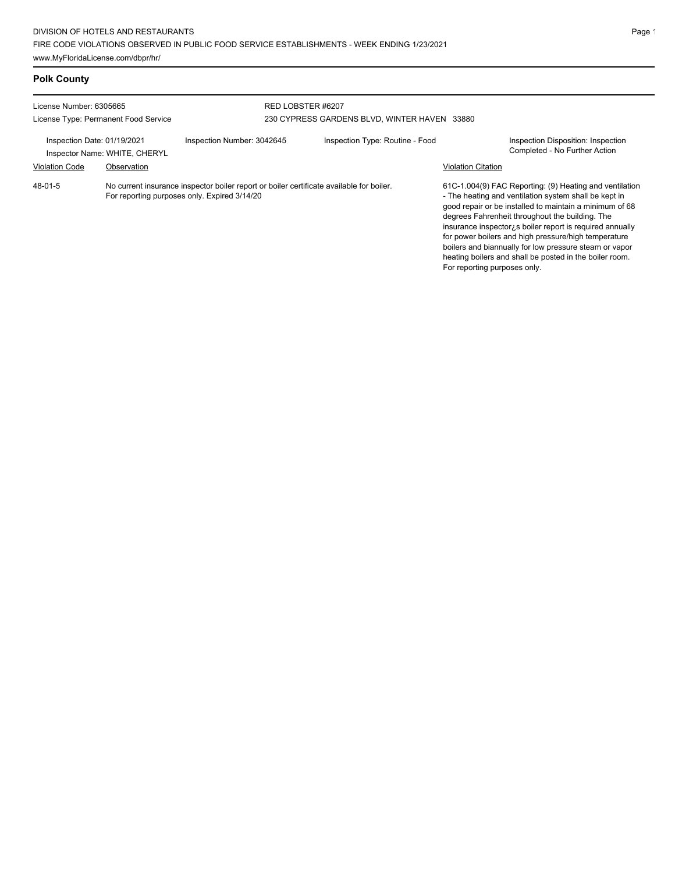### **Polk County**

| License Number: 6305665<br>License Type: Permanent Food Service |                               |                                                                                                                                          | RED LOBSTER #6207<br>230 CYPRESS GARDENS BLVD, WINTER HAVEN 33880 |                                 |                           |                                                                                                                                                                                                                                                                                                                                                     |
|-----------------------------------------------------------------|-------------------------------|------------------------------------------------------------------------------------------------------------------------------------------|-------------------------------------------------------------------|---------------------------------|---------------------------|-----------------------------------------------------------------------------------------------------------------------------------------------------------------------------------------------------------------------------------------------------------------------------------------------------------------------------------------------------|
| Inspection Date: 01/19/2021                                     | Inspector Name: WHITE, CHERYL | Inspection Number: 3042645                                                                                                               |                                                                   | Inspection Type: Routine - Food |                           | Inspection Disposition: Inspection<br>Completed - No Further Action                                                                                                                                                                                                                                                                                 |
| <b>Violation Code</b>                                           | Observation                   |                                                                                                                                          |                                                                   |                                 | <b>Violation Citation</b> |                                                                                                                                                                                                                                                                                                                                                     |
| 48-01-5                                                         |                               | No current insurance inspector boiler report or boiler certificate available for boiler.<br>For reporting purposes only. Expired 3/14/20 |                                                                   |                                 |                           | 61C-1.004(9) FAC Reporting: (9) Heating and ventilation<br>- The heating and ventilation system shall be kept in<br>good repair or be installed to maintain a minimum of 68<br>degrees Fahrenheit throughout the building. The<br>insurance inspector, s boiler report is required annually<br>for nower boilers and bigh pressure/bigh temperature |

for power boilers and high pressure/high temperature boilers and biannually for low pressure steam or vapor heating boilers and shall be posted in the boiler room. For reporting purposes only.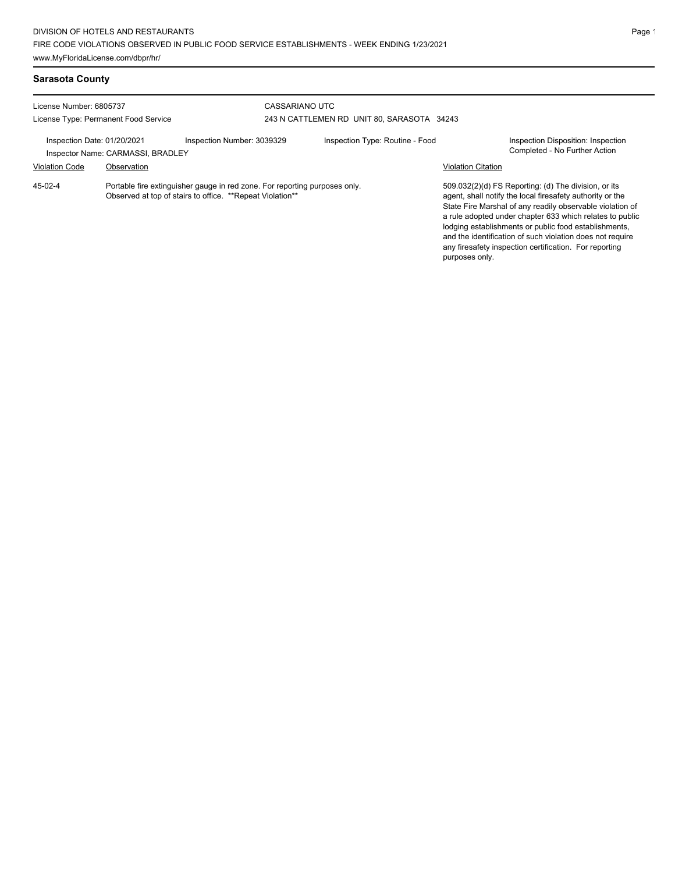### **Sarasota County**

| License Number: 6805737<br>License Type: Permanent Food Service  |             |                                                                                                                                         | CASSARIANO UTC<br>243 N CATTLEMEN RD UNIT 80, SARASOTA 34243 |                           |                                                                                                                                                                                                                                                                                                                                                                                                                            |  |
|------------------------------------------------------------------|-------------|-----------------------------------------------------------------------------------------------------------------------------------------|--------------------------------------------------------------|---------------------------|----------------------------------------------------------------------------------------------------------------------------------------------------------------------------------------------------------------------------------------------------------------------------------------------------------------------------------------------------------------------------------------------------------------------------|--|
| Inspection Date: 01/20/2021<br>Inspector Name: CARMASSI, BRADLEY |             | Inspection Number: 3039329                                                                                                              | Inspection Type: Routine - Food                              |                           | Inspection Disposition: Inspection<br>Completed - No Further Action                                                                                                                                                                                                                                                                                                                                                        |  |
| <b>Violation Code</b>                                            | Observation |                                                                                                                                         |                                                              | <b>Violation Citation</b> |                                                                                                                                                                                                                                                                                                                                                                                                                            |  |
| 45-02-4                                                          |             | Portable fire extinguisher gauge in red zone. For reporting purposes only.<br>Observed at top of stairs to office. **Repeat Violation** |                                                              | purposes only.            | 509.032(2)(d) FS Reporting: (d) The division, or its<br>agent, shall notify the local firesafety authority or the<br>State Fire Marshal of any readily observable violation of<br>a rule adopted under chapter 633 which relates to public<br>lodging establishments or public food establishments,<br>and the identification of such violation does not require<br>any firesafety inspection certification. For reporting |  |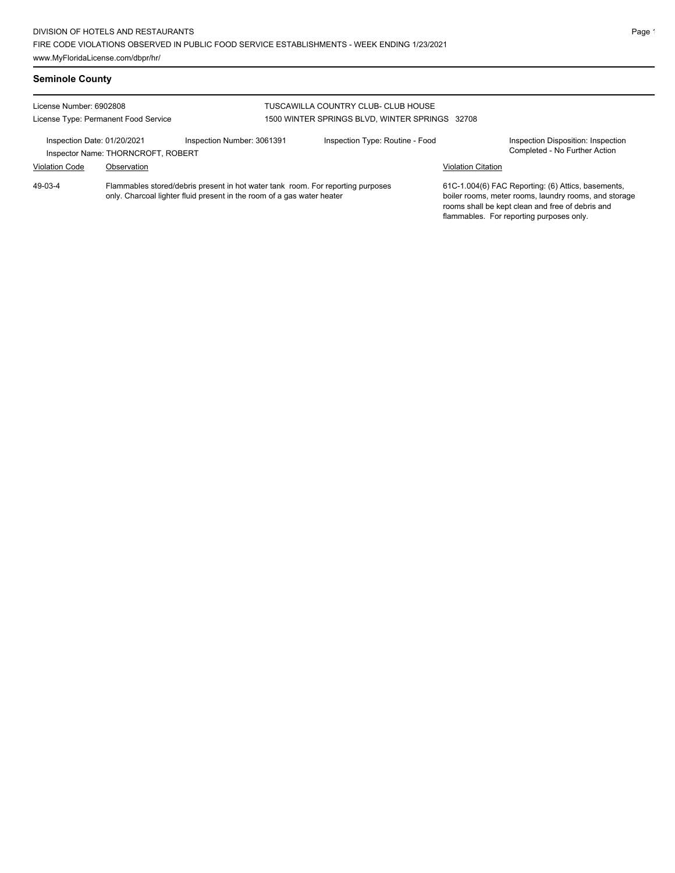### **Seminole County**

| License Number: 6902808<br>License Type: Permanent Food Service   |             |                                                                                                                                                           | TUSCAWILLA COUNTRY CLUB- CLUB HOUSE<br>1500 WINTER SPRINGS BLVD, WINTER SPRINGS 32708 |                           |                                                                                                                                                                                                             |
|-------------------------------------------------------------------|-------------|-----------------------------------------------------------------------------------------------------------------------------------------------------------|---------------------------------------------------------------------------------------|---------------------------|-------------------------------------------------------------------------------------------------------------------------------------------------------------------------------------------------------------|
| Inspection Date: 01/20/2021<br>Inspector Name: THORNCROFT, ROBERT |             | Inspection Number: 3061391                                                                                                                                | Inspection Type: Routine - Food                                                       | <b>Violation Citation</b> | Inspection Disposition: Inspection<br>Completed - No Further Action                                                                                                                                         |
| <b>Violation Code</b><br>$49-03-4$                                | Observation | Flammables stored/debris present in hot water tank room. For reporting purposes<br>only. Charcoal lighter fluid present in the room of a gas water heater |                                                                                       |                           | 61C-1.004(6) FAC Reporting: (6) Attics, basements,<br>boiler rooms, meter rooms, laundry rooms, and storage<br>rooms shall be kept clean and free of debris and<br>flammables. For reporting purposes only. |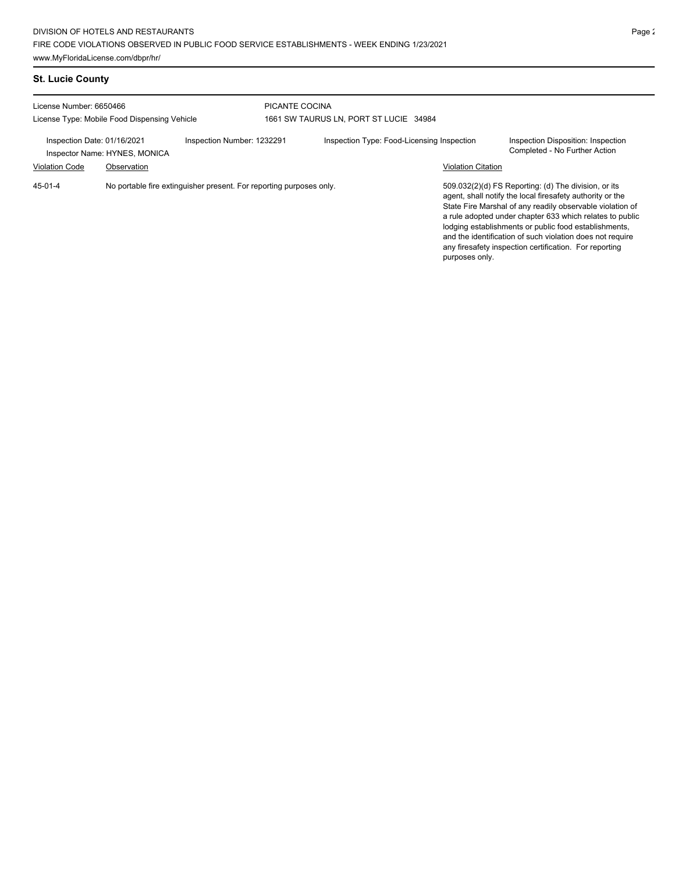### **St. Lucie County**

| License Number: 6650466<br>License Type: Mobile Food Dispensing Vehicle                    |             |  | PICANTE COCINA<br>1661 SW TAURUS LN. PORT ST LUCIE 34984 |                                                                                                                                                                                                                                                                                                                                                                                                                            |  |  |  |
|--------------------------------------------------------------------------------------------|-------------|--|----------------------------------------------------------|----------------------------------------------------------------------------------------------------------------------------------------------------------------------------------------------------------------------------------------------------------------------------------------------------------------------------------------------------------------------------------------------------------------------------|--|--|--|
| Inspection Number: 1232291<br>Inspection Date: 01/16/2021<br>Inspector Name: HYNES, MONICA |             |  | Inspection Type: Food-Licensing Inspection               | Inspection Disposition: Inspection<br>Completed - No Further Action                                                                                                                                                                                                                                                                                                                                                        |  |  |  |
| <b>Violation Code</b>                                                                      | Observation |  |                                                          | <b>Violation Citation</b>                                                                                                                                                                                                                                                                                                                                                                                                  |  |  |  |
| $45 - 01 - 4$<br>No portable fire extinguisher present. For reporting purposes only.       |             |  |                                                          | 509.032(2)(d) FS Reporting: (d) The division, or its<br>agent, shall notify the local firesafety authority or the<br>State Fire Marshal of any readily observable violation of<br>a rule adopted under chapter 633 which relates to public<br>lodging establishments or public food establishments.<br>and the identification of such violation does not require<br>any firesafety inspection certification. For reporting |  |  |  |